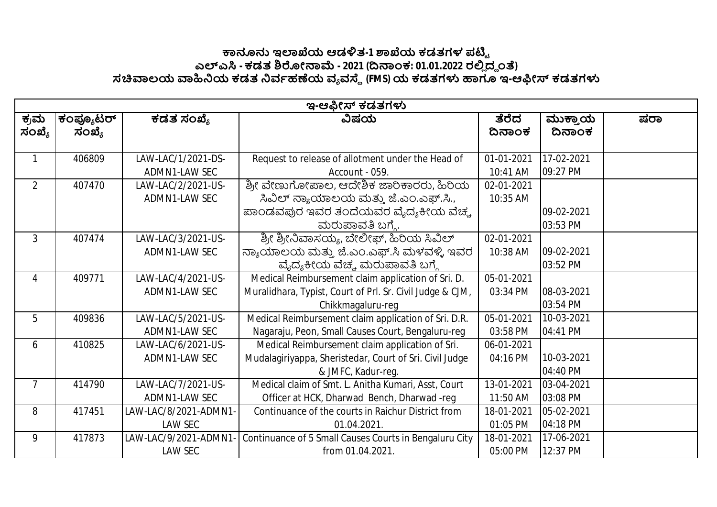## **౽ඞඝ ಇมಒಯ ಆಡัತ-1 ๎ಒಯ ಕಡತಗಳ ಪഔౣ ಎฯ ಎ - ಕಡತ ๏ฌೕක෫ - 2021 (ൽකಂಕ: 01.01.2022 ರย ದ౪ ಂ) ಸ฿ಲಯ ฿ඛಯ ಕಡತ ඛವბಹൕಯ ವ ವ౩ (FMS)ಯ ಕಡತಗำ ಟಇ-ಆඹೕ ಕಡತಗำ**

|                | ಇ-ಆಫೀಸ್ ಕಡತಗಳು      |                                         |                                                                                                                                           |                        |                        |     |  |  |
|----------------|---------------------|-----------------------------------------|-------------------------------------------------------------------------------------------------------------------------------------------|------------------------|------------------------|-----|--|--|
| ಕ್ರಮ<br>ಸಂಖ್ಯೆ | ಕಂಪ್ಯೂಟರ್<br>ಸಂಖ್ಯೆ | ಕಡತ ಸಂಖ್ಯೆ                              | ವಿಷಯ                                                                                                                                      | ತೆರೆದ<br>ದಿನಾಂಕ        | ಮುಕ್ತಾಯ<br>ದಿನಾಂಕ      | ಷರಾ |  |  |
| $\mathbf{1}$   | 406809              | LAW-LAC/1/2021-DS-<br>ADMN1-LAW SEC     | Request to release of allotment under the Head of<br>Account - 059.                                                                       | 01-01-2021<br>10:41 AM | 17-02-2021<br>09:27 PM |     |  |  |
| $\overline{2}$ | 407470              | LAW-LAC/2/2021-US-<br>ADMN1-LAW SEC     | ಶ್ರೀ ವೇಣುಗೋಪಾಲ, ಆದೇಶಿಕ ಜಾರಿಕಾರರು, ಹಿರಿಯ<br>ಸಿವಿಲ್ ನ್ಯಾಯಾಲಯ ಮತ್ತು ಜೆ.ಎಂ.ಎಫ್.ಸಿ.,<br>ಪಾಂಡವಪುರ ಇವರ ತಂದೆಯವರ ವೈದ್ಯಕೀಯ ವೆಚ್ಚ<br>ಮರುಪಾವತಿ ಬಗ್ಗೆ. | 02-01-2021<br>10:35 AM | 09-02-2021<br>03:53 PM |     |  |  |
| $\mathbf{3}$   | 407474              | LAW-LAC/3/2021-US-<br>ADMN1-LAW SEC     | ಶ್ರೀ ಶ್ರೀನಿವಾಸಯ್ಯ, ಬೇಲೀಫ್, ಹಿರಿಯ ಸಿವಿಲ್<br>ನ್ಯಾಯಾಲಯ ಮತ್ತು ಜೆ.ಎಂ.ಎಫ್.ಸಿ ಮಳವಳ್ಳಿ ಇವರ<br>ವೈದ್ಯಕೀಯ ವೆಚ್ಚ ಮರುಪಾವತಿ ಬಗ್ಗೆ                       | 02-01-2021<br>10:38 AM | 09-02-2021<br>03:52 PM |     |  |  |
| 4              | 409771              | LAW-LAC/4/2021-US-<br>ADMN1-LAW SEC     | Medical Reimbursement claim application of Sri. D.<br>Muralidhara, Typist, Court of Prl. Sr. Civil Judge & CJM,<br>Chikkmagaluru-reg      | 05-01-2021<br>03:34 PM | 08-03-2021<br>03:54 PM |     |  |  |
| 5              | 409836              | LAW-LAC/5/2021-US-<br>ADMN1-LAW SEC     | Medical Reimbursement claim application of Sri. D.R.<br>Nagaraju, Peon, Small Causes Court, Bengaluru-reg                                 | 05-01-2021<br>03:58 PM | 10-03-2021<br>04:41 PM |     |  |  |
| 6              | 410825              | LAW-LAC/6/2021-US-<br>ADMN1-LAW SEC     | Medical Reimbursement claim application of Sri.<br>Mudalagiriyappa, Sheristedar, Court of Sri. Civil Judge<br>& JMFC, Kadur-reg.          | 06-01-2021<br>04:16 PM | 10-03-2021<br>04:40 PM |     |  |  |
| $\overline{7}$ | 414790              | LAW-LAC/7/2021-US-<br>ADMN1-LAW SEC     | Medical claim of Smt. L. Anitha Kumari, Asst, Court<br>Officer at HCK, Dharwad Bench, Dharwad-reg                                         | 13-01-2021<br>11:50 AM | 03-04-2021<br>03:08 PM |     |  |  |
| 8              | 417451              | LAW-LAC/8/2021-ADMN1-<br><b>LAW SEC</b> | Continuance of the courts in Raichur District from<br>01.04.2021.                                                                         | 18-01-2021<br>01:05 PM | 05-02-2021<br>04:18 PM |     |  |  |
| 9              | 417873              | LAW-LAC/9/2021-ADMN1<br><b>LAW SEC</b>  | Continuance of 5 Small Causes Courts in Bengaluru City<br>from 01.04.2021.                                                                | 18-01-2021<br>05:00 PM | 17-06-2021<br>12:37 PM |     |  |  |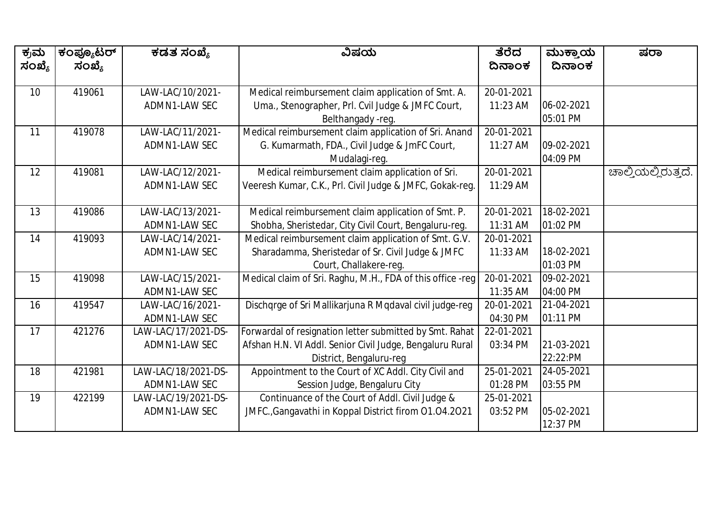| ಕ್ರಮ            | ಕಂಪ್ಯೂಟರ್ | ಕಡತ ಸಂಖ್ಯೆ          | ವಿಷಯ                                                       | ತೆರೆದ      | ಮುಕ್ತಾಯ    | ಷರಾ                 |
|-----------------|-----------|---------------------|------------------------------------------------------------|------------|------------|---------------------|
| ಸಂಖ್ಯೆ          | ಸಂಖ್ಯೆ    |                     |                                                            | ದಿನಾಂಕ     | ದಿನಾಂಕ     |                     |
|                 |           |                     |                                                            |            |            |                     |
| 10 <sup>1</sup> | 419061    | LAW-LAC/10/2021-    | Medical reimbursement claim application of Smt. A.         | 20-01-2021 |            |                     |
|                 |           | ADMN1-LAW SEC       | Uma., Stenographer, Prl. Cvil Judge & JMFC Court,          | 11:23 AM   | 06-02-2021 |                     |
|                 |           |                     | Belthangady -reg.                                          |            | 05:01 PM   |                     |
| 11              | 419078    | LAW-LAC/11/2021-    | Medical reimbursement claim application of Sri. Anand      | 20-01-2021 |            |                     |
|                 |           | ADMN1-LAW SEC       | G. Kumarmath, FDA., Civil Judge & JmFC Court,              | 11:27 AM   | 09-02-2021 |                     |
|                 |           |                     | Mudalagi-reg.                                              |            | 04:09 PM   |                     |
| 12              | 419081    | LAW-LAC/12/2021-    | Medical reimbursement claim application of Sri.            | 20-01-2021 |            | ಚಾಲ್ತಿಯಲ್ಲಿರುತ್ತದೆ. |
|                 |           | ADMN1-LAW SEC       | Veeresh Kumar, C.K., Prl. Civil Judge & JMFC, Gokak-reg.   | 11:29 AM   |            |                     |
|                 |           |                     |                                                            |            |            |                     |
| 13              | 419086    | LAW-LAC/13/2021-    | Medical reimbursement claim application of Smt. P.         | 20-01-2021 | 18-02-2021 |                     |
|                 |           | ADMN1-LAW SEC       | Shobha, Sheristedar, City Civil Court, Bengaluru-reg.      | 11:31 AM   | 01:02 PM   |                     |
| 14              | 419093    | LAW-LAC/14/2021-    | Medical reimbursement claim application of Smt. G.V.       | 20-01-2021 |            |                     |
|                 |           | ADMN1-LAW SEC       | Sharadamma, Sheristedar of Sr. Civil Judge & JMFC          | 11:33 AM   | 18-02-2021 |                     |
|                 |           |                     | Court, Challakere-reg.                                     |            | 01:03 PM   |                     |
| 15              | 419098    | LAW-LAC/15/2021-    | Medical claim of Sri. Raghu, M.H., FDA of this office -reg | 20-01-2021 | 09-02-2021 |                     |
|                 |           | ADMN1-LAW SEC       |                                                            | 11:35 AM   | 04:00 PM   |                     |
| 16              | 419547    | LAW-LAC/16/2021-    | Dischqrge of Sri Mallikarjuna R Mqdaval civil judge-reg    | 20-01-2021 | 21-04-2021 |                     |
|                 |           | ADMN1-LAW SEC       |                                                            | 04:30 PM   | 01:11 PM   |                     |
| 17              | 421276    | LAW-LAC/17/2021-DS- | Forwardal of resignation letter submitted by Smt. Rahat    | 22-01-2021 |            |                     |
|                 |           | ADMN1-LAW SEC       | Afshan H.N. VI Addl. Senior Civil Judge, Bengaluru Rural   | 03:34 PM   | 21-03-2021 |                     |
|                 |           |                     | District, Bengaluru-reg                                    |            | 22:22:PM   |                     |
| 18              | 421981    | LAW-LAC/18/2021-DS- | Appointment to the Court of XC Addl. City Civil and        | 25-01-2021 | 24-05-2021 |                     |
|                 |           | ADMN1-LAW SEC       | Session Judge, Bengaluru City                              | 01:28 PM   | 03:55 PM   |                     |
| 19              | 422199    | LAW-LAC/19/2021-DS- | Continuance of the Court of Addl. Civil Judge &            | 25-01-2021 |            |                     |
|                 |           | ADMN1-LAW SEC       | JMFC., Gangavathi in Koppal District firom 01.04.2021      | 03:52 PM   | 05-02-2021 |                     |
|                 |           |                     |                                                            |            | 12:37 PM   |                     |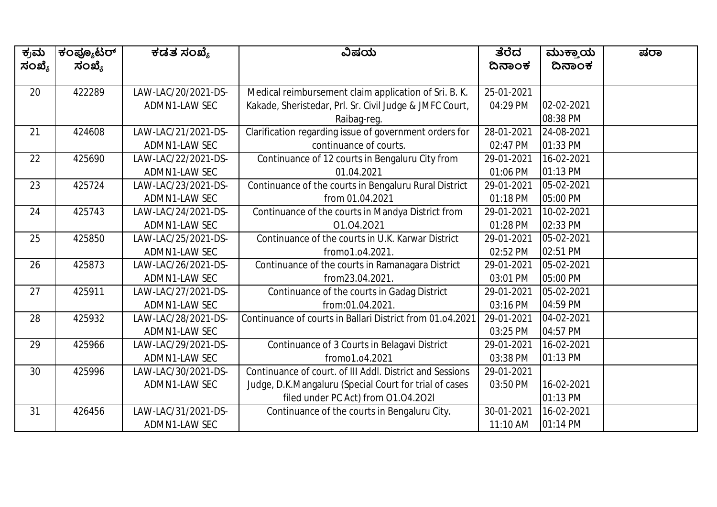| ಕ್ರಮ   | ಕಂಪ್ಯೂಟರ್ | ಕಡತ ಸಂಖ್ಯೆ          | ವಿಷಯ                                                      | ತೆರೆದ      | ಮುಕ್ತಾಯ    | ಷರಾ |
|--------|-----------|---------------------|-----------------------------------------------------------|------------|------------|-----|
| ಸಂಖ್ಯೆ | ಸಂಖ್ಯೆ    |                     |                                                           | ದಿನಾಂಕ     | ದಿನಾಂಕ     |     |
|        |           |                     |                                                           |            |            |     |
| 20     | 422289    | LAW-LAC/20/2021-DS- | Medical reimbursement claim application of Sri. B. K.     | 25-01-2021 |            |     |
|        |           | ADMN1-LAW SEC       | Kakade, Sheristedar, Prl. Sr. Civil Judge & JMFC Court,   | 04:29 PM   | 02-02-2021 |     |
|        |           |                     | Raibag-reg.                                               |            | 08:38 PM   |     |
| 21     | 424608    | LAW-LAC/21/2021-DS- | Clarification regarding issue of government orders for    | 28-01-2021 | 24-08-2021 |     |
|        |           | ADMN1-LAW SEC       | continuance of courts.                                    | 02:47 PM   | 01:33 PM   |     |
| 22     | 425690    | LAW-LAC/22/2021-DS- | Continuance of 12 courts in Bengaluru City from           | 29-01-2021 | 16-02-2021 |     |
|        |           | ADMN1-LAW SEC       | 01.04.2021                                                | 01:06 PM   | 01:13 PM   |     |
| 23     | 425724    | LAW-LAC/23/2021-DS- | Continuance of the courts in Bengaluru Rural District     | 29-01-2021 | 05-02-2021 |     |
|        |           | ADMN1-LAW SEC       | from 01.04.2021                                           | 01:18 PM   | 05:00 PM   |     |
| 24     | 425743    | LAW-LAC/24/2021-DS- | Continuance of the courts in Mandya District from         | 29-01-2021 | 10-02-2021 |     |
|        |           | ADMN1-LAW SEC       | 01.04.2021                                                | 01:28 PM   | 02:33 PM   |     |
| 25     | 425850    | LAW-LAC/25/2021-DS- | Continuance of the courts in U.K. Karwar District         | 29-01-2021 | 05-02-2021 |     |
|        |           | ADMN1-LAW SEC       | fromo1.o4.2021.                                           | 02:52 PM   | 02:51 PM   |     |
| 26     | 425873    | LAW-LAC/26/2021-DS- | Continuance of the courts in Ramanagara District          | 29-01-2021 | 05-02-2021 |     |
|        |           | ADMN1-LAW SEC       | from23.04.2021.                                           | 03:01 PM   | 05:00 PM   |     |
| 27     | 425911    | LAW-LAC/27/2021-DS- | Continuance of the courts in Gadag District               | 29-01-2021 | 05-02-2021 |     |
|        |           | ADMN1-LAW SEC       | from:01.04.2021.                                          | 03:16 PM   | 04:59 PM   |     |
| 28     | 425932    | LAW-LAC/28/2021-DS- | Continuance of courts in Ballari District from 01.04.2021 | 29-01-2021 | 04-02-2021 |     |
|        |           | ADMN1-LAW SEC       |                                                           | 03:25 PM   | 04:57 PM   |     |
| 29     | 425966    | LAW-LAC/29/2021-DS- | Continuance of 3 Courts in Belagavi District              | 29-01-2021 | 16-02-2021 |     |
|        |           | ADMN1-LAW SEC       | fromo1.04.2021                                            | 03:38 PM   | 01:13 PM   |     |
| 30     | 425996    | LAW-LAC/30/2021-DS- | Continuance of court. of III Addl. District and Sessions  | 29-01-2021 |            |     |
|        |           | ADMN1-LAW SEC       | Judge, D.K.Mangaluru (Special Court for trial of cases    | 03:50 PM   | 16-02-2021 |     |
|        |           |                     | filed under PC Act) from 01.04.2021                       |            | 01:13 PM   |     |
| 31     | 426456    | LAW-LAC/31/2021-DS- | Continuance of the courts in Bengaluru City.              | 30-01-2021 | 16-02-2021 |     |
|        |           | ADMN1-LAW SEC       |                                                           | 11:10 AM   | 01:14 PM   |     |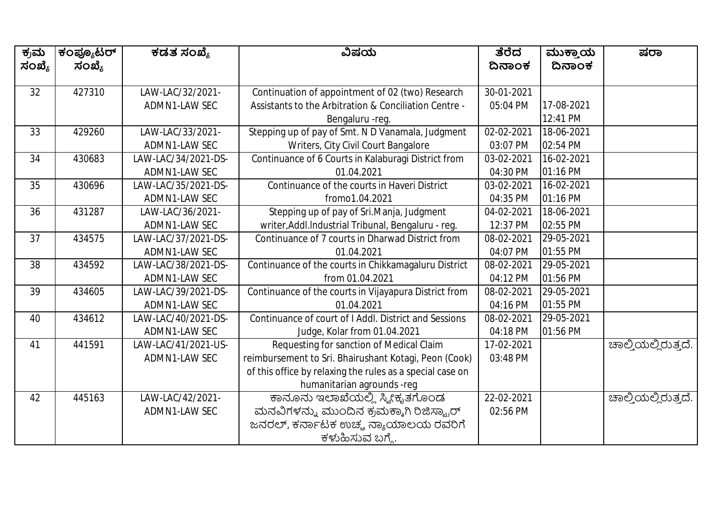| ಕ್ರಮ   | ಕಂಪ್ಯೂಟರ್ | ಕಡತ ಸಂಖ್ಯೆ          | ವಿಷಯ                                                      | ತೆರೆದ      | ಮುಕ್ತಾಯ    | ಷರಾ                 |
|--------|-----------|---------------------|-----------------------------------------------------------|------------|------------|---------------------|
| ಸಂಖ್ಯೆ | ಸಂಖ್ಯೆ    |                     |                                                           | ದಿನಾಂಕ     | ದಿನಾಂಕ     |                     |
| 32     | 427310    | LAW-LAC/32/2021-    | Continuation of appointment of 02 (two) Research          | 30-01-2021 |            |                     |
|        |           | ADMN1-LAW SEC       | Assistants to the Arbitration & Conciliation Centre -     | 05:04 PM   | 17-08-2021 |                     |
|        |           |                     | Bengaluru - reg.                                          |            | 12:41 PM   |                     |
| 33     | 429260    | LAW-LAC/33/2021-    | Stepping up of pay of Smt. N D Vanamala, Judgment         | 02-02-2021 | 18-06-2021 |                     |
|        |           | ADMN1-LAW SEC       | Writers, City Civil Court Bangalore                       | 03:07 PM   | 02:54 PM   |                     |
| 34     | 430683    | LAW-LAC/34/2021-DS- | Continuance of 6 Courts in Kalaburagi District from       | 03-02-2021 | 16-02-2021 |                     |
|        |           | ADMN1-LAW SEC       | 01.04.2021                                                | 04:30 PM   | 01:16 PM   |                     |
| 35     | 430696    | LAW-LAC/35/2021-DS- | Continuance of the courts in Haveri District              | 03-02-2021 | 16-02-2021 |                     |
|        |           | ADMN1-LAW SEC       | fromo1.04.2021                                            | 04:35 PM   | 01:16 PM   |                     |
| 36     | 431287    | LAW-LAC/36/2021-    | Stepping up of pay of Sri.Manja, Judgment                 | 04-02-2021 | 18-06-2021 |                     |
|        |           | ADMN1-LAW SEC       | writer, Addl. Industrial Tribunal, Bengaluru - reg.       | 12:37 PM   | 02:55 PM   |                     |
| 37     | 434575    | LAW-LAC/37/2021-DS- | Continuance of 7 courts in Dharwad District from          | 08-02-2021 | 29-05-2021 |                     |
|        |           | ADMN1-LAW SEC       | 01.04.2021                                                | 04:07 PM   | 01:55 PM   |                     |
| 38     | 434592    | LAW-LAC/38/2021-DS- | Continuance of the courts in Chikkamagaluru District      | 08-02-2021 | 29-05-2021 |                     |
|        |           | ADMN1-LAW SEC       | from 01.04.2021                                           | 04:12 PM   | 01:56 PM   |                     |
| 39     | 434605    | LAW-LAC/39/2021-DS- | Continuance of the courts in Vijayapura District from     | 08-02-2021 | 29-05-2021 |                     |
|        |           | ADMN1-LAW SEC       | 01.04.2021                                                | 04:16 PM   | 01:55 PM   |                     |
| 40     | 434612    | LAW-LAC/40/2021-DS- | Continuance of court of I Addl. District and Sessions     | 08-02-2021 | 29-05-2021 |                     |
|        |           | ADMN1-LAW SEC       | Judge, Kolar from 01.04.2021                              | 04:18 PM   | 01:56 PM   |                     |
| 41     | 441591    | LAW-LAC/41/2021-US- | Requesting for sanction of Medical Claim                  | 17-02-2021 |            | ಚಾಲ್ತಿಯಲ್ಲಿರುತ್ತದೆ. |
|        |           | ADMN1-LAW SEC       | reimbursement to Sri. Bhairushant Kotagi, Peon (Cook)     | 03:48 PM   |            |                     |
|        |           |                     | of this office by relaxing the rules as a special case on |            |            |                     |
|        |           |                     | humanitarian agrounds -reg                                |            |            |                     |
| 42     | 445163    | LAW-LAC/42/2021-    | ಕಾನೂನು ಇಲಾಖೆಯಲ್ಲಿ ಸ್ಕ್ರೀಕೃತಗೊಂಡ                           | 22-02-2021 |            | ಚಾಲ್ತಿಯಲ್ಲಿರುತ್ತದೆ. |
|        |           | ADMN1-LAW SEC       | ಮನವಿಗಳನ್ನು ಮುಂದಿನ ಕ್ರಮಕ್ಕಾಗಿ ರಿಜಿಸ್ಟ್ರಾರ್                 | 02:56 PM   |            |                     |
|        |           |                     | ಜನರಲ್, ಕರ್ನಾಟಕ ಉಚ್ಚ ನ್ಯಾಯಾಲಯ ರವರಿಗೆ                       |            |            |                     |
|        |           |                     | ಕಳುಹಿಸುವ ಬಗ್ಗೆ.                                           |            |            |                     |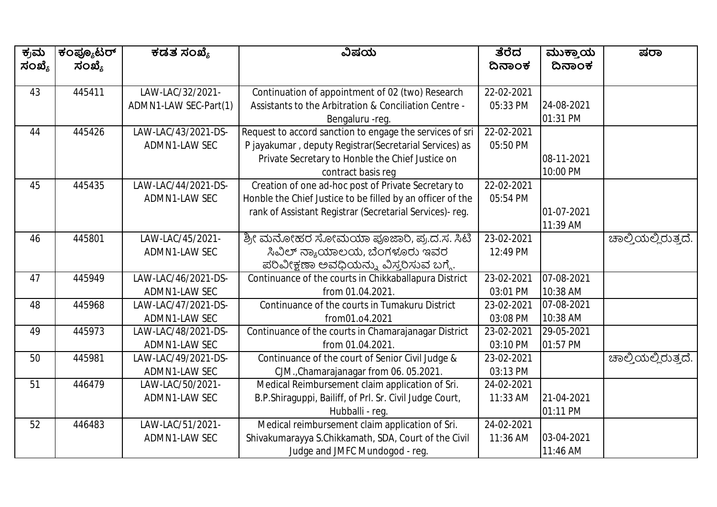| ಕ್ರಮ   | ಕಂಪ್ಯೂಟರ್ | ಕಡತ ಸಂಖ್ಯೆ            | ವಿಷಯ                                                                                                                   | ತೆರೆದ      | ಮುಕ್ತಾಯ                | ಷರಾ                 |
|--------|-----------|-----------------------|------------------------------------------------------------------------------------------------------------------------|------------|------------------------|---------------------|
| ಸಂಖ್ಯೆ | ಸಂಖ್ಯೆ    |                       |                                                                                                                        | ದಿನಾಂಕ     | ದಿನಾಂಕ                 |                     |
|        |           |                       |                                                                                                                        |            |                        |                     |
| 43     | 445411    | LAW-LAC/32/2021-      | Continuation of appointment of 02 (two) Research                                                                       | 22-02-2021 |                        |                     |
|        |           | ADMN1-LAW SEC-Part(1) | Assistants to the Arbitration & Conciliation Centre -                                                                  | 05:33 PM   | 24-08-2021             |                     |
| 44     | 445426    | LAW-LAC/43/2021-DS-   | Bengaluru - reg.                                                                                                       | 22-02-2021 | 01:31 PM               |                     |
|        |           |                       | Request to accord sanction to engage the services of sri                                                               |            |                        |                     |
|        |           | ADMN1-LAW SEC         | P jayakumar, deputy Registrar (Secretarial Services) as                                                                | 05:50 PM   |                        |                     |
|        |           |                       | Private Secretary to Honble the Chief Justice on                                                                       |            | 08-11-2021<br>10:00 PM |                     |
| 45     | 445435    | LAW-LAC/44/2021-DS-   | contract basis req<br>Creation of one ad-hoc post of Private Secretary to                                              | 22-02-2021 |                        |                     |
|        |           | ADMN1-LAW SEC         |                                                                                                                        | 05:54 PM   |                        |                     |
|        |           |                       | Honble the Chief Justice to be filled by an officer of the<br>rank of Assistant Registrar (Secretarial Services)- reg. |            | 01-07-2021             |                     |
|        |           |                       |                                                                                                                        |            | 11:39 AM               |                     |
| 46     | 445801    | LAW-LAC/45/2021-      | ಶ್ರೀ ಮನೋಹರ ಸೋಮಯಾ ಪೂಜಾರಿ, ಪ್ರ.ದ.ಸ. ಸಿಟಿ                                                                                 | 23-02-2021 |                        | ಚಾಲ್ತಿಯಲ್ಲಿರುತ್ತದೆ. |
|        |           | ADMN1-LAW SEC         | ಸಿವಿಲ್ ನ್ಯಾಯಾಲಯ, ಬೆಂಗಳೂರು ಇವರ                                                                                          | 12:49 PM   |                        |                     |
|        |           |                       | ಪರಿವೀಕ್ಷಣಾ ಅವಧಿಯನ್ನು ವಿಸ್ತರಿಸುವ ಬಗ್ಗೆ.                                                                                 |            |                        |                     |
| 47     | 445949    | LAW-LAC/46/2021-DS-   | Continuance of the courts in Chikkaballapura District                                                                  | 23-02-2021 | 07-08-2021             |                     |
|        |           | ADMN1-LAW SEC         | from 01.04.2021.                                                                                                       | 03:01 PM   | 10:38 AM               |                     |
| 48     | 445968    | LAW-LAC/47/2021-DS-   | Continuance of the courts in Tumakuru District                                                                         | 23-02-2021 | 07-08-2021             |                     |
|        |           | ADMN1-LAW SEC         | from01.o4.2021                                                                                                         | 03:08 PM   | 10:38 AM               |                     |
| 49     | 445973    | LAW-LAC/48/2021-DS-   | Continuance of the courts in Chamarajanagar District                                                                   | 23-02-2021 | 29-05-2021             |                     |
|        |           | ADMN1-LAW SEC         | from 01.04.2021.                                                                                                       | 03:10 PM   | 01:57 PM               |                     |
| 50     | 445981    | LAW-LAC/49/2021-DS-   | Continuance of the court of Senior Civil Judge &                                                                       | 23-02-2021 |                        | ಚಾಲ್ತಿಯಲ್ಲಿರುತ್ತದೆ. |
|        |           | ADMN1-LAW SEC         | CJM., Chamarajanagar from 06. 05.2021.                                                                                 | 03:13 PM   |                        |                     |
| 51     | 446479    | LAW-LAC/50/2021-      | Medical Reimbursement claim application of Sri.                                                                        | 24-02-2021 |                        |                     |
|        |           | ADMN1-LAW SEC         | B.P.Shiraguppi, Bailiff, of Prl. Sr. Civil Judge Court,                                                                | 11:33 AM   | 21-04-2021             |                     |
|        |           |                       | Hubballi - req.                                                                                                        |            | 01:11 PM               |                     |
| 52     | 446483    | LAW-LAC/51/2021-      | Medical reimbursement claim application of Sri.                                                                        | 24-02-2021 |                        |                     |
|        |           | ADMN1-LAW SEC         | Shivakumarayya S.Chikkamath, SDA, Court of the Civil                                                                   | 11:36 AM   | 03-04-2021             |                     |
|        |           |                       | Judge and JMFC Mundogod - reg.                                                                                         |            | 11:46 AM               |                     |
|        |           |                       |                                                                                                                        |            |                        |                     |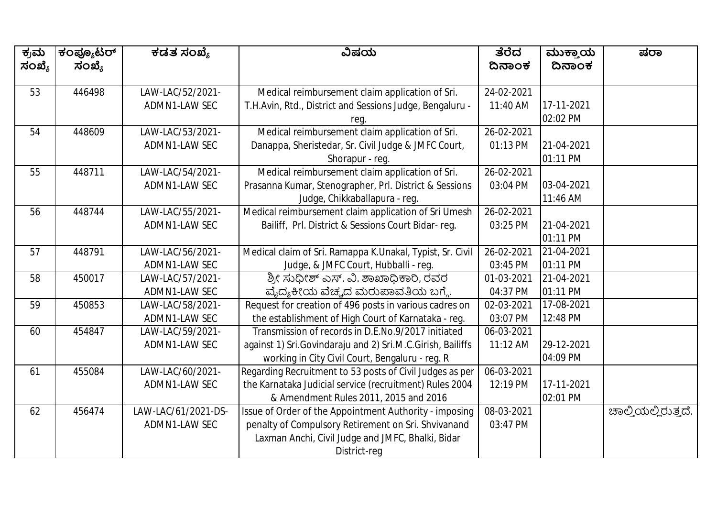| ಕ್ರಮ   | ಕಂಪ್ಯೂಟರ್ | ಕಡತ ಸಂಖ್ಯೆ          | ವಿಷಯ                                                          | ತೆರೆದ            | ಮುಕ್ತಾಯ    | ಷರಾ                 |
|--------|-----------|---------------------|---------------------------------------------------------------|------------------|------------|---------------------|
| ಸಂಖ್ಯೆ | ಸಂಖ್ಯೆ    |                     |                                                               | ದಿನಾಂಕ           | ದಿನಾಂಕ     |                     |
| 53     | 446498    | LAW-LAC/52/2021-    | Medical reimbursement claim application of Sri.               | 24-02-2021       |            |                     |
|        |           | ADMN1-LAW SEC       | T.H.Avin, Rtd., District and Sessions Judge, Bengaluru -      | 11:40 AM         | 17-11-2021 |                     |
|        |           |                     | reg.                                                          |                  | 02:02 PM   |                     |
| 54     | 448609    | LAW-LAC/53/2021-    | Medical reimbursement claim application of Sri.               | 26-02-2021       |            |                     |
|        |           | ADMN1-LAW SEC       | Danappa, Sheristedar, Sr. Civil Judge & JMFC Court,           | 01:13 PM         | 21-04-2021 |                     |
|        |           |                     | Shorapur - reg.                                               |                  | 01:11 PM   |                     |
| 55     | 448711    | LAW-LAC/54/2021-    | Medical reimbursement claim application of Sri.               | 26-02-2021       |            |                     |
|        |           | ADMN1-LAW SEC       | Prasanna Kumar, Stenographer, Prl. District & Sessions        | 03:04 PM         | 03-04-2021 |                     |
|        |           |                     | Judge, Chikkaballapura - reg.                                 |                  | 11:46 AM   |                     |
| 56     | 448744    | LAW-LAC/55/2021-    | Medical reimbursement claim application of Sri Umesh          | 26-02-2021       |            |                     |
|        |           | ADMN1-LAW SEC       | Bailiff, Prl. District & Sessions Court Bidar-reg.            | 03:25 PM         | 21-04-2021 |                     |
|        |           |                     |                                                               |                  | 01:11 PM   |                     |
| 57     | 448791    | LAW-LAC/56/2021-    | Medical claim of Sri. Ramappa K.Unakal, Typist, Sr. Civil     | 26-02-2021       | 21-04-2021 |                     |
|        |           | ADMN1-LAW SEC       | Judge, & JMFC Court, Hubballi - reg.                          | 03:45 PM         | 01:11 PM   |                     |
| 58     | 450017    | LAW-LAC/57/2021-    | ಶ್ರೀ ಸುಧೀಶ್ ಎಸ್. ವಿ. ಶಾಖಾಧಿಕಾರಿ, ರವರ                          | 01-03-2021       | 21-04-2021 |                     |
|        |           | ADMN1-LAW SEC       | ವೈದ್ಯಕೀಯ ವೆಚ್ಚದ ಮರುಪಾವತಿಯ ಬಗ್ಗೆ.                              | 04:37 PM         | 01:11 PM   |                     |
| 59     | 450853    | LAW-LAC/58/2021-    | Request for creation of 496 posts in various cadres on        | 02-03-2021       | 17-08-2021 |                     |
|        |           | ADMN1-LAW SEC       | the establishment of High Court of Karnataka - reg.           | 03:07 PM         | 12:48 PM   |                     |
| 60     | 454847    | LAW-LAC/59/2021-    | Transmission of records in D.E.No.9/2017 initiated            | 06-03-2021       |            |                     |
|        |           | ADMN1-LAW SEC       | against 1) Sri. Govindaraju and 2) Sri. M.C. Girish, Bailiffs | 11:12 AM         | 29-12-2021 |                     |
|        |           |                     | working in City Civil Court, Bengaluru - reg. R               |                  | 04:09 PM   |                     |
| 61     | 455084    | LAW-LAC/60/2021-    | Regarding Recruitment to 53 posts of Civil Judges as per      | $06 - 03 - 2021$ |            |                     |
|        |           | ADMN1-LAW SEC       | the Karnataka Judicial service (recruitment) Rules 2004       | 12:19 PM         | 17-11-2021 |                     |
|        |           |                     | & Amendment Rules 2011, 2015 and 2016                         |                  | 02:01 PM   |                     |
| 62     | 456474    | LAW-LAC/61/2021-DS- | Issue of Order of the Appointment Authority - imposing        | 08-03-2021       |            | ಚಾಲ್ತಿಯಲ್ಲಿರುತ್ತದೆ. |
|        |           | ADMN1-LAW SEC       | penalty of Compulsory Retirement on Sri. Shvivanand           | 03:47 PM         |            |                     |
|        |           |                     | Laxman Anchi, Civil Judge and JMFC, Bhalki, Bidar             |                  |            |                     |
|        |           |                     | District-req                                                  |                  |            |                     |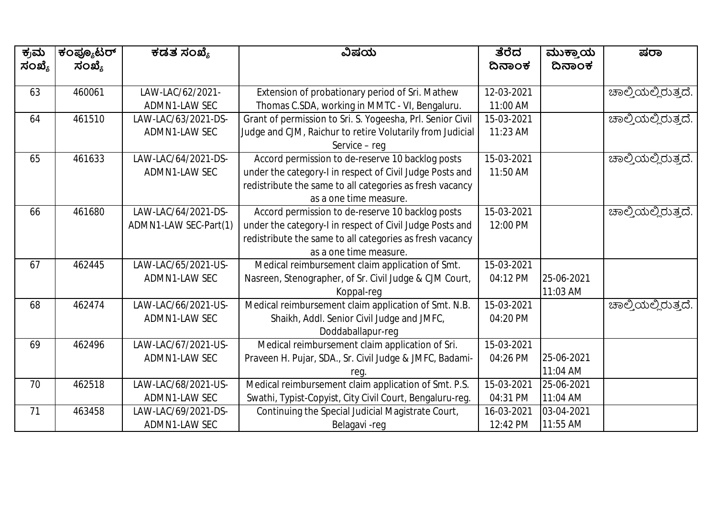| ಕ್ರಮ   | ಕಂಪ್ಯೂಟರ್ | ಕಡತ ಸಂಖ್ಯೆ            | ವಿಷಯ                                                       | ತೆರೆದ      | ಮುಕ್ತಾಯ<br>ದಿನಾಂಕ | ಷರಾ                          |
|--------|-----------|-----------------------|------------------------------------------------------------|------------|-------------------|------------------------------|
| ಸಂಖ್ಯೆ | ಸಂಖ್ಯೆ    |                       |                                                            | ದಿನಾಂಕ     |                   |                              |
| 63     | 460061    | LAW-LAC/62/2021-      | Extension of probationary period of Sri. Mathew            | 12-03-2021 |                   | ಚಾಲ್ತಿಯಲ್ಲಿರುತ್ತದೆ.          |
|        |           | ADMN1-LAW SEC         | Thomas C.SDA, working in MMTC - VI, Bengaluru.             | 11:00 AM   |                   |                              |
| 64     | 461510    | LAW-LAC/63/2021-DS-   | Grant of permission to Sri. S. Yogeesha, Prl. Senior Civil | 15-03-2021 |                   | ಚಾಲ್ತಿಯಲ್ಲಿರುತ್ತದೆ.          |
|        |           | ADMN1-LAW SEC         | Judge and CJM, Raichur to retire Volutarily from Judicial  | 11:23 AM   |                   |                              |
|        |           |                       | Service - reg                                              |            |                   |                              |
| 65     | 461633    | LAW-LAC/64/2021-DS-   | Accord permission to de-reserve 10 backlog posts           | 15-03-2021 |                   | <u>ಚಾಲ್ತಿಯಲ್ಲಿರುತ್ತದೆ.</u>   |
|        |           | ADMN1-LAW SEC         | under the category-I in respect of Civil Judge Posts and   | 11:50 AM   |                   |                              |
|        |           |                       | redistribute the same to all categories as fresh vacancy   |            |                   |                              |
|        |           |                       | as a one time measure.                                     |            |                   |                              |
| 66     | 461680    | LAW-LAC/64/2021-DS-   | Accord permission to de-reserve 10 backlog posts           | 15-03-2021 |                   | <u> ಚಾ</u> ಲ್ತಿಯಲ್ಲಿರುತ್ತದೆ. |
|        |           | ADMN1-LAW SEC-Part(1) | under the category-I in respect of Civil Judge Posts and   | 12:00 PM   |                   |                              |
|        |           |                       | redistribute the same to all categories as fresh vacancy   |            |                   |                              |
|        |           |                       | as a one time measure.                                     |            |                   |                              |
| 67     | 462445    | LAW-LAC/65/2021-US-   | Medical reimbursement claim application of Smt.            | 15-03-2021 |                   |                              |
|        |           | <b>ADMN1-LAW SEC</b>  | Nasreen, Stenographer, of Sr. Civil Judge & CJM Court,     | 04:12 PM   | 25-06-2021        |                              |
|        |           |                       | Koppal-req                                                 |            | 11:03 AM          |                              |
| 68     | 462474    | LAW-LAC/66/2021-US-   | Medical reimbursement claim application of Smt. N.B.       | 15-03-2021 |                   | <u>ಚಾಲ್ತಿಯಲ್ಲಿರುತ್ತದೆ.</u>   |
|        |           | ADMN1-LAW SEC         | Shaikh, Addl. Senior Civil Judge and JMFC,                 | 04:20 PM   |                   |                              |
|        |           |                       | Doddaballapur-req                                          |            |                   |                              |
| 69     | 462496    | LAW-LAC/67/2021-US-   | Medical reimbursement claim application of Sri.            | 15-03-2021 |                   |                              |
|        |           | ADMN1-LAW SEC         | Praveen H. Pujar, SDA., Sr. Civil Judge & JMFC, Badami-    | 04:26 PM   | 25-06-2021        |                              |
|        |           |                       | reg.                                                       |            | 11:04 AM          |                              |
| 70     | 462518    | LAW-LAC/68/2021-US-   | Medical reimbursement claim application of Smt. P.S.       | 15-03-2021 | 25-06-2021        |                              |
|        |           | ADMN1-LAW SEC         | Swathi, Typist-Copyist, City Civil Court, Bengaluru-reg.   | 04:31 PM   | 11:04 AM          |                              |
| 71     | 463458    | LAW-LAC/69/2021-DS-   | Continuing the Special Judicial Magistrate Court,          | 16-03-2021 | 03-04-2021        |                              |
|        |           | ADMN1-LAW SEC         | Belagavi-reg                                               | 12:42 PM   | 11:55 AM          |                              |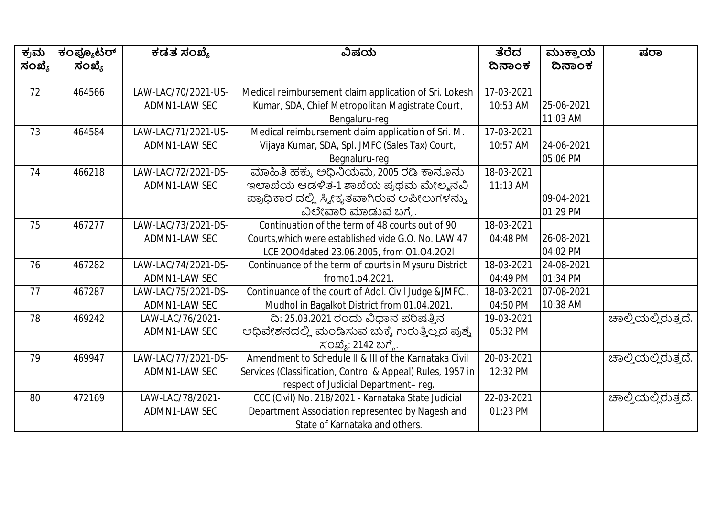| ಕ್ರಮ   | ಕಂಪ್ಯೂಟರ್ | ಕಡತ ಸಂಖ್ಯೆ           | ವಿಷಯ                                                       | ತೆರೆದ      | ಮುಕ್ತಾಯ    | ಷರಾ                 |
|--------|-----------|----------------------|------------------------------------------------------------|------------|------------|---------------------|
| ಸಂಖ್ಯೆ | ಸಂಖ್ಯೆ    |                      |                                                            | ದಿನಾಂಕ     | ದಿನಾಂಕ     |                     |
|        |           |                      |                                                            |            |            |                     |
| 72     | 464566    | LAW-LAC/70/2021-US-  | Medical reimbursement claim application of Sri. Lokesh     | 17-03-2021 |            |                     |
|        |           | ADMN1-LAW SEC        | Kumar, SDA, Chief Metropolitan Magistrate Court,           | 10:53 AM   | 25-06-2021 |                     |
|        |           |                      | Bengaluru-reg                                              |            | 11:03 AM   |                     |
| 73     | 464584    | LAW-LAC/71/2021-US-  | Medical reimbursement claim application of Sri. M.         | 17-03-2021 |            |                     |
|        |           | ADMN1-LAW SEC        | Vijaya Kumar, SDA, Spl. JMFC (Sales Tax) Court,            | 10:57 AM   | 24-06-2021 |                     |
|        |           |                      | Begnaluru-reg                                              |            | 05:06 PM   |                     |
| 74     | 466218    | LAW-LAC/72/2021-DS-  | ಮಾಹಿತಿ ಹಕ್ಕು ಅಧಿನಿಯಮ, 2005 ರಡಿ ಕಾನೂನು                      | 18-03-2021 |            |                     |
|        |           | ADMN1-LAW SEC        | ಇಲಾಖೆಯ ಆಡಳಿತ-1 ಶಾಖೆಯ ಪ್ರಥಮ ಮೇಲ್ಮನವಿ                        | 11:13 AM   |            |                     |
|        |           |                      | ಪ್ರಾಧಿಕಾರ ದಲ್ಲಿ ಸ್ವೀಕೃತವಾಗಿರುವ ಅಪೀಲುಗಳನ್ನು                 |            | 09-04-2021 |                     |
|        |           |                      | ವಿಲೇವಾರಿ ಮಾಡುವ ಬಗ್ಗೆ.                                      |            | 01:29 PM   |                     |
| 75     | 467277    | LAW-LAC/73/2021-DS-  | Continuation of the term of 48 courts out of 90            | 18-03-2021 |            |                     |
|        |           | ADMN1-LAW SEC        | Courts, which were established vide G.O. No. LAW 47        | 04:48 PM   | 26-08-2021 |                     |
|        |           |                      | LCE 2004dated 23.06.2005, from 01.04.202l                  |            | 04:02 PM   |                     |
| 76     | 467282    | LAW-LAC/74/2021-DS-  | Continuance of the term of courts in Mysuru District       | 18-03-2021 | 24-08-2021 |                     |
|        |           | ADMN1-LAW SEC        | fromo1.04.2021.                                            | 04:49 PM   | 01:34 PM   |                     |
| 77     | 467287    | LAW-LAC/75/2021-DS-  | Continuance of the court of Addl. Civil Judge &JMFC.,      | 18-03-2021 | 07-08-2021 |                     |
|        |           | ADMN1-LAW SEC        | Mudhol in Bagalkot District from 01.04.2021.               | 04:50 PM   | 10:38 AM   |                     |
| 78     | 469242    | LAW-LAC/76/2021-     | ದಿ: 25.03.2021 ರಂದು ವಿಧಾನ ಪರಿಷತ್ತಿನ                        | 19-03-2021 |            | ಚಾಲ್ತಿಯಲ್ಲಿರುತ್ತದೆ. |
|        |           | ADMN1-LAW SEC        | ಅಧಿವೇಶನದಲ್ಲಿ ಮಂಡಿಸುವ ಚುಕ್ಕೆ ಗುರುತ್ತಿಲ್ಲದ ಪ್ರಶ್ನೆ           | 05:32 PM   |            |                     |
|        |           |                      | ಸಂಖ್ಯೆ: 2142 ಬಗ್ಗೆ.                                        |            |            |                     |
| 79     | 469947    | LAW-LAC/77/2021-DS-  | Amendment to Schedule II & III of the Karnataka Civil      | 20-03-2021 |            | ಚಾಲ್ತಿಯಲ್ಲಿರುತ್ತದೆ. |
|        |           | <b>ADMN1-LAW SEC</b> | Services (Classification, Control & Appeal) Rules, 1957 in | 12:32 PM   |            |                     |
|        |           |                      | respect of Judicial Department-reg.                        |            |            |                     |
| 80     | 472169    | LAW-LAC/78/2021-     | CCC (Civil) No. 218/2021 - Karnataka State Judicial        | 22-03-2021 |            | ಚಾಲ್ತಿಯಲ್ಲಿರುತ್ತದೆ. |
|        |           | ADMN1-LAW SEC        | Department Association represented by Nagesh and           | 01:23 PM   |            |                     |
|        |           |                      | State of Karnataka and others.                             |            |            |                     |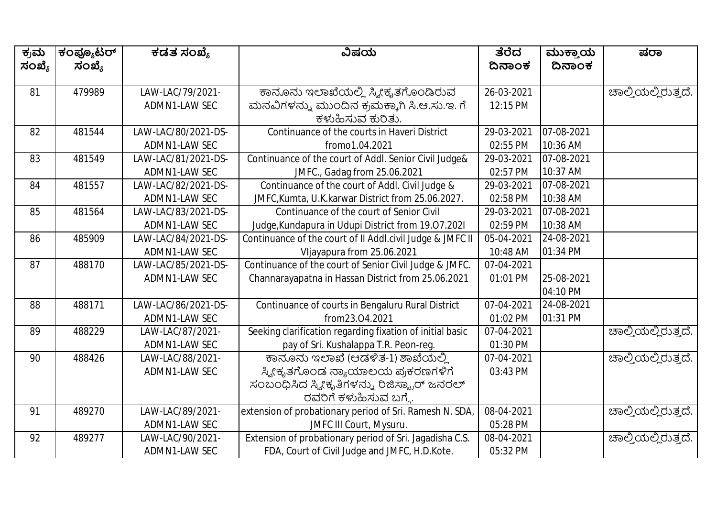| ಕ್ರಮ   | ಕಂಪ್ಯೂಟರ್ | ಕಡತ ಸಂಖ್ಯೆ          | ವಿಷಯ                                                      | ತೆರೆದ      | ಮುಕ್ತಾಯ                  | ಷರಾ                 |
|--------|-----------|---------------------|-----------------------------------------------------------|------------|--------------------------|---------------------|
| ಸಂಖ್ಯೆ | ಸಂಖ್ಯೆ    |                     |                                                           | ದಿನಾಂಕ     | ದಿನಾಂಕ                   |                     |
|        |           |                     |                                                           |            |                          |                     |
| 81     | 479989    | LAW-LAC/79/2021-    | ಕಾನೂನು ಇಲಾಖೆಯಲ್ಲಿ ಸ್ವೀಕೃತಗೊಂಡಿರುವ                         | 26-03-2021 |                          | ಚಾಲ್ತಿಯಲ್ಲಿರುತ್ತದೆ. |
|        |           | ADMN1-LAW SEC       | ಮನವಿಗಳನ್ನು ಮುಂದಿನ ಕ್ರಮಕ್ಕಾಗಿ ಸಿ.ಆ.ಸು.ಇ. ಗೆ                | 12:15 PM   |                          |                     |
|        |           |                     | ಕಳುಹಿಸುವ ಕುರಿತು.                                          |            |                          |                     |
| 82     | 481544    | LAW-LAC/80/2021-DS- | Continuance of the courts in Haveri District              | 29-03-2021 | 07-08-2021               |                     |
|        |           | ADMN1-LAW SEC       | fromo1.04.2021                                            | 02:55 PM   | 10:36 AM                 |                     |
| 83     | 481549    | LAW-LAC/81/2021-DS- | Continuance of the court of Addl. Senior Civil Judge&     | 29-03-2021 | 07-08-2021               |                     |
|        |           | ADMN1-LAW SEC       | JMFC., Gadag from 25.06.2021                              | 02:57 PM   | 10:37 AM                 |                     |
| 84     | 481557    | LAW-LAC/82/2021-DS- | Continuance of the court of Addl. Civil Judge &           | 29-03-2021 | 07-08-2021               |                     |
|        |           | ADMN1-LAW SEC       | JMFC, Kumta, U.K. karwar District from 25.06.2027.        | 02:58 PM   | 10:38 AM                 |                     |
| 85     | 481564    | LAW-LAC/83/2021-DS- | Continuance of the court of Senior Civil                  | 29-03-2021 | $\overline{07}$ -08-2021 |                     |
|        |           | ADMN1-LAW SEC       | Judge, Kundapura in Udupi District from 19.07.2021        | 02:59 PM   | 10:38 AM                 |                     |
| 86     | 485909    | LAW-LAC/84/2021-DS- | Continuance of the court of II Addl.civil Judge & JMFC II | 05-04-2021 | 24-08-2021               |                     |
|        |           | ADMN1-LAW SEC       | Vljayapura from 25.06.2021                                | 10:48 AM   | 01:34 PM                 |                     |
| 87     | 488170    | LAW-LAC/85/2021-DS- | Continuance of the court of Senior Civil Judge & JMFC.    | 07-04-2021 |                          |                     |
|        |           | ADMN1-LAW SEC       | Channarayapatna in Hassan District from 25.06.2021        | 01:01 PM   | 25-08-2021               |                     |
|        |           |                     |                                                           |            | 04:10 PM                 |                     |
| 88     | 488171    | LAW-LAC/86/2021-DS- | Continuance of courts in Bengaluru Rural District         | 07-04-2021 | $24 - 08 - 2021$         |                     |
|        |           | ADMN1-LAW SEC       | from23.04.2021                                            | 01:02 PM   | 01:31 PM                 |                     |
| 89     | 488229    | LAW-LAC/87/2021-    | Seeking clarification regarding fixation of initial basic | 07-04-2021 |                          | ಚಾಲ್ತಿಯಲ್ಲಿರುತ್ತದೆ. |
|        |           | ADMN1-LAW SEC       | pay of Sri. Kushalappa T.R. Peon-reg.                     | 01:30 PM   |                          |                     |
| 90     | 488426    | LAW-LAC/88/2021-    | ಕಾನೂನು ಇಲಾಖೆ (ಆಡಳಿತ-1) ಶಾಖೆಯಲ್ಲಿ                          | 07-04-2021 |                          | ಚಾಲ್ತಿಯಲ್ಲಿರುತ್ತದೆ. |
|        |           | ADMN1-LAW SEC       | ಸ್ಕ್ರೀಕೃತಗೊಂಡ ನ್ಯಾಯಾಲಯ ಪ್ರಕರಣಗಳಿಗೆ                        | 03:43 PM   |                          |                     |
|        |           |                     | ಸಂಬಂಧಿಸಿದ ಸ್ವೀಕೃತಿಗಳನ್ನು ರಿಜಿಸ್ಟ್ರಾರ್ ಜನರಲ್               |            |                          |                     |
|        |           |                     | ರವರಿಗೆ ಕಳುಹಿಸುವ ಬಗ್ಗೆ.                                    |            |                          |                     |
| 91     | 489270    | LAW-LAC/89/2021-    | extension of probationary period of Sri. Ramesh N. SDA,   | 08-04-2021 |                          | ಚಾಲ್ತಿಯಲ್ಲಿರುತ್ತದೆ. |
|        |           | ADMN1-LAW SEC       | JMFC III Court, Mysuru.                                   | 05:28 PM   |                          |                     |
| 92     | 489277    | LAW-LAC/90/2021-    | Extension of probationary period of Sri. Jagadisha C.S.   | 08-04-2021 |                          | ಚಾಲ್ತಿಯಲ್ಲಿರುತ್ತದೆ. |
|        |           | ADMN1-LAW SEC       | FDA, Court of Civil Judge and JMFC, H.D.Kote.             | 05:32 PM   |                          |                     |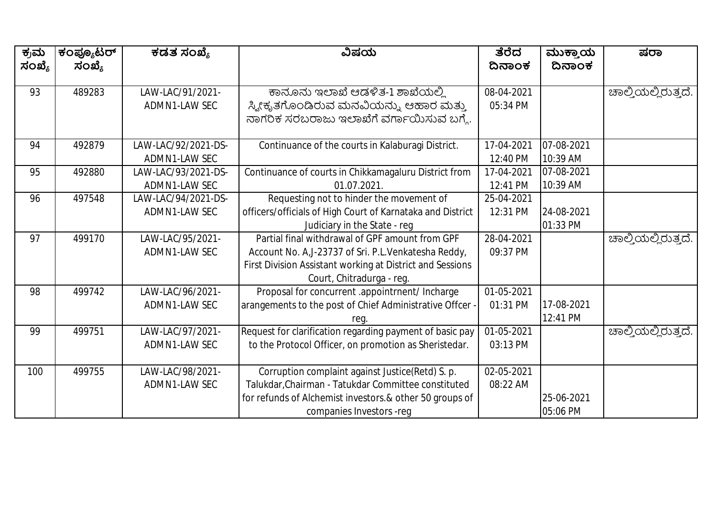| ಕ್ರಮ   | ಕಂಪ್ಯೂಟರ್<br>ಸಂಖ್ಯೆ | ಕಡತ ಸಂಖ್ಯೆ          | ವಿಷಯ                                                       | ತೆರೆದ<br>ದಿನಾಂಕ | ಮುಕ್ತಾಯ<br>ದಿನಾಂಕ | ಷರಾ                 |
|--------|---------------------|---------------------|------------------------------------------------------------|-----------------|-------------------|---------------------|
| ಸಂಖ್ಯೆ |                     |                     |                                                            |                 |                   |                     |
| 93     | 489283              | LAW-LAC/91/2021-    | ಕಾನೂನು ಇಲಾಖೆ ಆಡಳಿತ-1 ಶಾಖೆಯಲ್ಲಿ                             | 08-04-2021      |                   | ಚಾಲ್ತಿಯಲ್ಲಿರುತ್ತದೆ. |
|        |                     | ADMN1-LAW SEC       | ಸ್ಯೀಕೃತಗೊಂಡಿರುವ ಮನವಿಯನ್ನು ಆಹಾರ ಮತ್ತು                       | 05:34 PM        |                   |                     |
|        |                     |                     | ನಾಗರಿಕ ಸರಬರಾಜು ಇಲಾಖೆಗೆ ವರ್ಗಾಯಿಸುವ ಬಗ್ಗೆ.                   |                 |                   |                     |
| 94     | 492879              | LAW-LAC/92/2021-DS- | Continuance of the courts in Kalaburagi District.          | 17-04-2021      | 07-08-2021        |                     |
|        |                     | ADMN1-LAW SEC       |                                                            | 12:40 PM        | 10:39 AM          |                     |
| 95     | 492880              | LAW-LAC/93/2021-DS- | Continuance of courts in Chikkamagaluru District from      | 17-04-2021      | 07-08-2021        |                     |
|        |                     | ADMN1-LAW SEC       | 01.07.2021.                                                | 12:41 PM        | 10:39 AM          |                     |
| 96     | 497548              | LAW-LAC/94/2021-DS- | Requesting not to hinder the movement of                   | 25-04-2021      |                   |                     |
|        |                     | ADMN1-LAW SEC       | officers/officials of High Court of Karnataka and District | 12:31 PM        | 24-08-2021        |                     |
|        |                     |                     | Judiciary in the State - reg                               |                 | 01:33 PM          |                     |
| 97     | 499170              | LAW-LAC/95/2021-    | Partial final withdrawal of GPF amount from GPF            | 28-04-2021      |                   | ಹಾಲ್ಮಿಯಲ್ಲಿರುತ್ತದೆ. |
|        |                     | ADMN1-LAW SEC       | Account No. A, J-23737 of Sri. P.L. Venkatesha Reddy,      | 09:37 PM        |                   |                     |
|        |                     |                     | First Division Assistant working at District and Sessions  |                 |                   |                     |
|        |                     |                     | Court, Chitradurga - reg.                                  |                 |                   |                     |
| 98     | 499742              | LAW-LAC/96/2021-    | Proposal for concurrent .appointrnent/ Incharge            | 01-05-2021      |                   |                     |
|        |                     | ADMN1-LAW SEC       | arangements to the post of Chief Administrative Offcer -   | 01:31 PM        | 17-08-2021        |                     |
|        |                     |                     | rea                                                        |                 | 12:41 PM          |                     |
| 99     | 499751              | LAW-LAC/97/2021-    | Request for clarification regarding payment of basic pay   | 01-05-2021      |                   | ಚಾಲ್ತಿಯಲ್ಲಿರುತ್ತದೆ. |
|        |                     | ADMN1-LAW SEC       | to the Protocol Officer, on promotion as Sheristedar.      | 03:13 PM        |                   |                     |
|        |                     |                     |                                                            |                 |                   |                     |
| 100    | 499755              | LAW-LAC/98/2021-    | Corruption complaint against Justice(Retd) S. p.           | 02-05-2021      |                   |                     |
|        |                     | ADMN1-LAW SEC       | Talukdar, Chairman - Tatukdar Committee constituted        | 08:22 AM        |                   |                     |
|        |                     |                     | for refunds of Alchemist investors.& other 50 groups of    |                 | 25-06-2021        |                     |
|        |                     |                     | companies Investors -reg                                   |                 | 05:06 PM          |                     |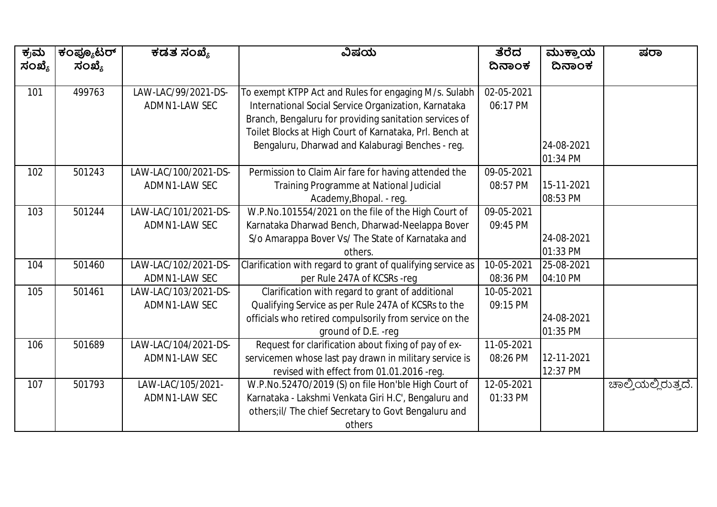| ಕ್ರಮ<br>ಸಂಖ್ಯೆ | ಕಂಪ್ಯೂಟರ್<br>ಸಂಖ್ಯೆ | ಕಡತ ಸಂಖ್ಯೆ           | ವಿಷಯ                                                        | ತೆರೆದ<br>ದಿನಾಂಕ | ಮುಕ್ತಾಯ<br>ದಿನಾಂಕ | ಷರಾ                 |
|----------------|---------------------|----------------------|-------------------------------------------------------------|-----------------|-------------------|---------------------|
|                |                     |                      |                                                             |                 |                   |                     |
| 101            | 499763              | LAW-LAC/99/2021-DS-  | To exempt KTPP Act and Rules for engaging M/s. Sulabh       | 02-05-2021      |                   |                     |
|                |                     | ADMN1-LAW SEC        | International Social Service Organization, Karnataka        | 06:17 PM        |                   |                     |
|                |                     |                      | Branch, Bengaluru for providing sanitation services of      |                 |                   |                     |
|                |                     |                      | Toilet Blocks at High Court of Karnataka, Prl. Bench at     |                 |                   |                     |
|                |                     |                      | Bengaluru, Dharwad and Kalaburagi Benches - reg.            |                 | 24-08-2021        |                     |
|                |                     |                      |                                                             |                 | 01:34 PM          |                     |
| 102            | 501243              | LAW-LAC/100/2021-DS- | Permission to Claim Air fare for having attended the        | 09-05-2021      |                   |                     |
|                |                     | ADMN1-LAW SEC        | Training Programme at National Judicial                     | 08:57 PM        | 15-11-2021        |                     |
|                |                     |                      | Academy, Bhopal. - reg.                                     |                 | 08:53 PM          |                     |
| 103            | 501244              | LAW-LAC/101/2021-DS- | W.P.No.101554/2021 on the file of the High Court of         | 09-05-2021      |                   |                     |
|                |                     | ADMN1-LAW SEC        | Karnataka Dharwad Bench, Dharwad-Neelappa Bover             | 09:45 PM        |                   |                     |
|                |                     |                      | S/o Amarappa Bover Vs/ The State of Karnataka and           |                 | 24-08-2021        |                     |
|                |                     |                      | others.                                                     |                 | 01:33 PM          |                     |
| 104            | 501460              | LAW-LAC/102/2021-DS- | Clarification with regard to grant of qualifying service as | 10-05-2021      | 25-08-2021        |                     |
|                |                     | ADMN1-LAW SEC        | per Rule 247A of KCSRs -reg                                 | 08:36 PM        | 04:10 PM          |                     |
| 105            | 501461              | LAW-LAC/103/2021-DS- | Clarification with regard to grant of additional            | 10-05-2021      |                   |                     |
|                |                     | ADMN1-LAW SEC        | Qualifying Service as per Rule 247A of KCSRs to the         | 09:15 PM        |                   |                     |
|                |                     |                      | officials who retired compulsorily from service on the      |                 | 24-08-2021        |                     |
|                |                     |                      | ground of D.E. - reg                                        |                 | 01:35 PM          |                     |
| 106            | 501689              | LAW-LAC/104/2021-DS- | Request for clarification about fixing of pay of ex-        | 11-05-2021      |                   |                     |
|                |                     | ADMN1-LAW SEC        | servicemen whose last pay drawn in military service is      | 08:26 PM        | 12-11-2021        |                     |
|                |                     |                      | revised with effect from 01.01.2016 -reg.                   |                 | 12:37 PM          |                     |
| 107            | 501793              | LAW-LAC/105/2021-    | W.P.No.5247O/2019 (S) on file Hon'ble High Court of         | 12-05-2021      |                   | ಚಾಲ್ತಿಯಲ್ಲಿರುತ್ತದೆ. |
|                |                     | ADMN1-LAW SEC        | Karnataka - Lakshmi Venkata Giri H.C', Bengaluru and        | 01:33 PM        |                   |                     |
|                |                     |                      | others; il/ The chief Secretary to Govt Bengaluru and       |                 |                   |                     |
|                |                     |                      | others                                                      |                 |                   |                     |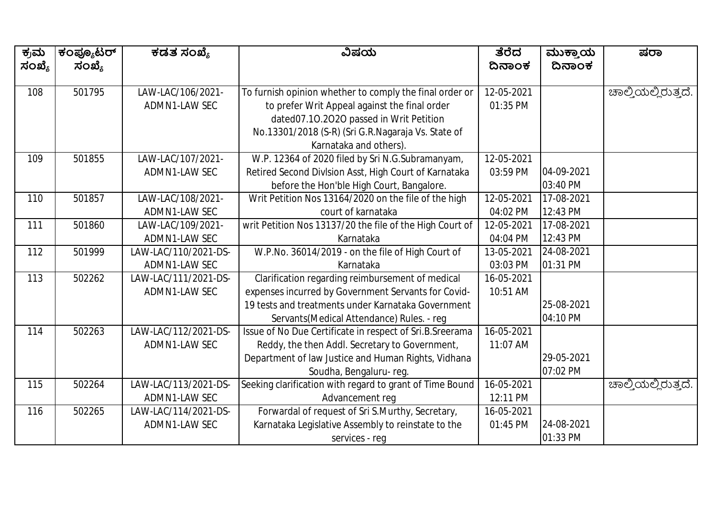| ಕ್ರಮ<br>ಸಂಖ್ಯೆ | ಕಂಪ್ಯೂಟರ್<br>ಸಂಖ್ಯೆ | ಕಡತ ಸಂಖ್ಯೆ           | ವಿಷಯ                                                     | ತೆರೆದ<br>ದಿನಾಂಕ | ಮುಕ್ತಾಯ<br>ದಿನಾಂಕ | ಷರಾ                 |
|----------------|---------------------|----------------------|----------------------------------------------------------|-----------------|-------------------|---------------------|
|                |                     |                      |                                                          |                 |                   |                     |
| 108            | 501795              | LAW-LAC/106/2021-    | To furnish opinion whether to comply the final order or  | 12-05-2021      |                   | ಚಾಲ್ತಿಯಲ್ಲಿರುತ್ತದೆ. |
|                |                     | ADMN1-LAW SEC        | to prefer Writ Appeal against the final order            | 01:35 PM        |                   |                     |
|                |                     |                      | dated07.10.2020 passed in Writ Petition                  |                 |                   |                     |
|                |                     |                      | No.13301/2018 (S-R) (Sri G.R.Nagaraja Vs. State of       |                 |                   |                     |
|                |                     |                      | Karnataka and others).                                   |                 |                   |                     |
| 109            | 501855              | LAW-LAC/107/2021-    | W.P. 12364 of 2020 filed by Sri N.G.Subramanyam,         | 12-05-2021      |                   |                     |
|                |                     | ADMN1-LAW SEC        | Retired Second Division Asst, High Court of Karnataka    | 03:59 PM        | 04-09-2021        |                     |
|                |                     |                      | before the Hon'ble High Court, Bangalore.                |                 | 03:40 PM          |                     |
| 110            | 501857              | LAW-LAC/108/2021-    | Writ Petition Nos 13164/2020 on the file of the high     | 12-05-2021      | 17-08-2021        |                     |
|                |                     | ADMN1-LAW SEC        | court of karnataka                                       | 04:02 PM        | 12:43 PM          |                     |
| 111            | 501860              | LAW-LAC/109/2021-    | writ Petition Nos 13137/20 the file of the High Court of | 12-05-2021      | 17-08-2021        |                     |
|                |                     | ADMN1-LAW SEC        | Karnataka                                                | 04:04 PM        | 12:43 PM          |                     |
| 112            | 501999              | LAW-LAC/110/2021-DS- | W.P.No. 36014/2019 - on the file of High Court of        | 13-05-2021      | 24-08-2021        |                     |
|                |                     | ADMN1-LAW SEC        | Karnataka                                                | 03:03 PM        | 01:31 PM          |                     |
| 113            | 502262              | LAW-LAC/111/2021-DS- | Clarification regarding reimbursement of medical         | 16-05-2021      |                   |                     |
|                |                     | ADMN1-LAW SEC        | expenses incurred by Government Servants for Covid-      | 10:51 AM        |                   |                     |
|                |                     |                      | 19 tests and treatments under Karnataka Government       |                 | 25-08-2021        |                     |
|                |                     |                      | Servants (Medical Attendance) Rules. - reg               |                 | 04:10 PM          |                     |
| 114            | 502263              | LAW-LAC/112/2021-DS- | Issue of No Due Certificate in respect of Sri.B.Sreerama | 16-05-2021      |                   |                     |
|                |                     | ADMN1-LAW SEC        | Reddy, the then Addl. Secretary to Government,           | 11:07 AM        |                   |                     |
|                |                     |                      | Department of law Justice and Human Rights, Vidhana      |                 | 29-05-2021        |                     |
|                |                     |                      | Soudha, Bengaluru-reg.                                   |                 | 07:02 PM          |                     |
| 115            | 502264              | LAW-LAC/113/2021-DS- | Seeking clarification with regard to grant of Time Bound | 16-05-2021      |                   | ಚಾಲ್ತಿಯಲ್ಲಿರುತ್ತದೆ. |
|                |                     | ADMN1-LAW SEC        | Advancement reg                                          | 12:11 PM        |                   |                     |
| 116            | 502265              | LAW-LAC/114/2021-DS- | Forwardal of request of Sri S.Murthy, Secretary,         | 16-05-2021      |                   |                     |
|                |                     | ADMN1-LAW SEC        | Karnataka Legislative Assembly to reinstate to the       | 01:45 PM        | 24-08-2021        |                     |
|                |                     |                      | services - reg                                           |                 | 01:33 PM          |                     |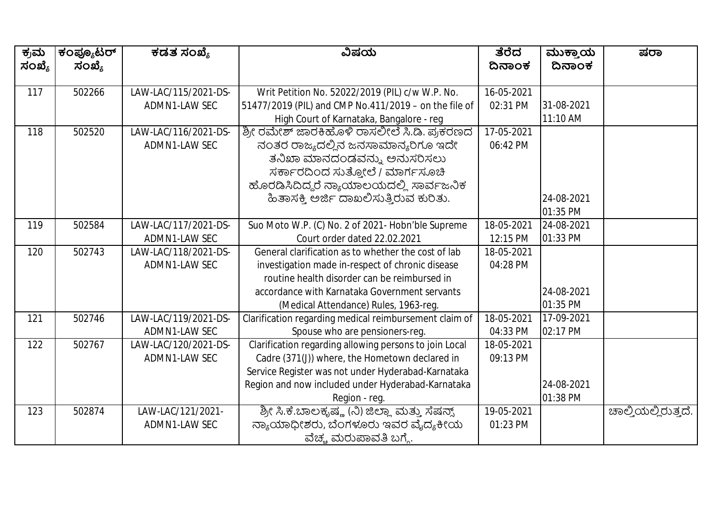| ಕ್ರಮ<br>ಸಂಖ್ಯೆ | ಕಂಪ್ಯೂಟರ್<br>ಸಂಖ್ಯೆ | ಕಡತ ಸಂಖ್ಯೆ           | ವಿಷಯ                                                   | ತೆರೆದ<br>ದಿನಾಂಕ | ಮುಕ್ತಾಯ<br>ದಿನಾಂಕ | ಷರಾ                 |
|----------------|---------------------|----------------------|--------------------------------------------------------|-----------------|-------------------|---------------------|
| 117            | 502266              | LAW-LAC/115/2021-DS- | Writ Petition No. 52022/2019 (PIL) c/w W.P. No.        | 16-05-2021      |                   |                     |
|                |                     | ADMN1-LAW SEC        | 51477/2019 (PIL) and CMP No.411/2019 - on the file of  | 02:31 PM        | 31-08-2021        |                     |
|                |                     |                      | High Court of Karnataka, Bangalore - reg               |                 | 11:10 AM          |                     |
| 118            | 502520              | LAW-LAC/116/2021-DS- | ಶ್ರೀ ರಮೇಶ್ ಜಾರಕಿಹೊಳಿ ರಾಸಲೀಲೆ ಸಿ.ಡಿ. ಪ್ರಕರಣದ            | 17-05-2021      |                   |                     |
|                |                     | ADMN1-LAW SEC        | ನಂತರ ರಾಜ್ಯದಲ್ಲಿನ ಜನಸಾಮಾನ್ಯರಿಗೂ ಇದೇ                     | 06:42 PM        |                   |                     |
|                |                     |                      | ತನಿಖಾ ಮಾನದಂಡವನ್ನು ಅನುಸರಿಸಲು                            |                 |                   |                     |
|                |                     |                      | ಸರ್ಕಾರದಿಂದ ಸುತ್ತೋಲೆ / ಮಾರ್ಗಸೂಚಿ                        |                 |                   |                     |
|                |                     |                      | ಹೊರಡಿಸಿದಿದ್ದರೆ ನ್ಯಾಯಾಲಯದಲ್ಲಿ ಸಾರ್ವಜನಿಕ                 |                 |                   |                     |
|                |                     |                      | ಹಿತಾಸಕ್ತಿ ಅರ್ಜಿ ದಾಖಲಿಸುತ್ತಿರುವ ಕುರಿತು.                 |                 | 24-08-2021        |                     |
|                |                     |                      |                                                        |                 | 01:35 PM          |                     |
| 119            | 502584              | LAW-LAC/117/2021-DS- | Suo Moto W.P. (C) No. 2 of 2021- Hobn'ble Supreme      | 18-05-2021      | 24-08-2021        |                     |
|                |                     | ADMN1-LAW SEC        | Court order dated 22.02.2021                           | 12:15 PM        | 01:33 PM          |                     |
| 120            | 502743              | LAW-LAC/118/2021-DS- | General clarification as to whether the cost of lab    | 18-05-2021      |                   |                     |
|                |                     | ADMN1-LAW SEC        | investigation made in-respect of chronic disease       | 04:28 PM        |                   |                     |
|                |                     |                      | routine health disorder can be reimbursed in           |                 |                   |                     |
|                |                     |                      | accordance with Karnataka Government servants          |                 | 24-08-2021        |                     |
|                |                     |                      | (Medical Attendance) Rules, 1963-reg.                  |                 | 01:35 PM          |                     |
| 121            | 502746              | LAW-LAC/119/2021-DS- | Clarification regarding medical reimbursement claim of | 18-05-2021      | 17-09-2021        |                     |
|                |                     | ADMN1-LAW SEC        | Spouse who are pensioners-reg.                         | 04:33 PM        | 02:17 PM          |                     |
| 122            | 502767              | LAW-LAC/120/2021-DS- | Clarification regarding allowing persons to join Local | 18-05-2021      |                   |                     |
|                |                     | ADMN1-LAW SEC        | Cadre (371(J)) where, the Hometown declared in         | 09:13 PM        |                   |                     |
|                |                     |                      | Service Register was not under Hyderabad-Karnataka     |                 |                   |                     |
|                |                     |                      | Region and now included under Hyderabad-Karnataka      |                 | 24-08-2021        |                     |
|                |                     |                      | Region - reg.                                          |                 | 01:38 PM          |                     |
| 123            | 502874              | LAW-LAC/121/2021-    | ಶ್ರೀ ಸಿ.ಕೆ.ಬಾಲಕೃಷ್ಣ (ನಿ) ಜಿಲ್ಲಾ ಮತ್ತು ಸೆಷನ್ಸ್          | 19-05-2021      |                   | ಚಾಲ್ತಿಯಲ್ಲಿರುತ್ತದೆ. |
|                |                     | ADMN1-LAW SEC        | ನ್ಯಾಯಾಧೀಶರು, ಬೆಂಗಳೂರು ಇವರ ವೈದ್ಯಕೀಯ                     | 01:23 PM        |                   |                     |
|                |                     |                      | ವೆಚ್ಚ ಮರುಪಾವತಿ ಬಗ್ಗೆ.                                  |                 |                   |                     |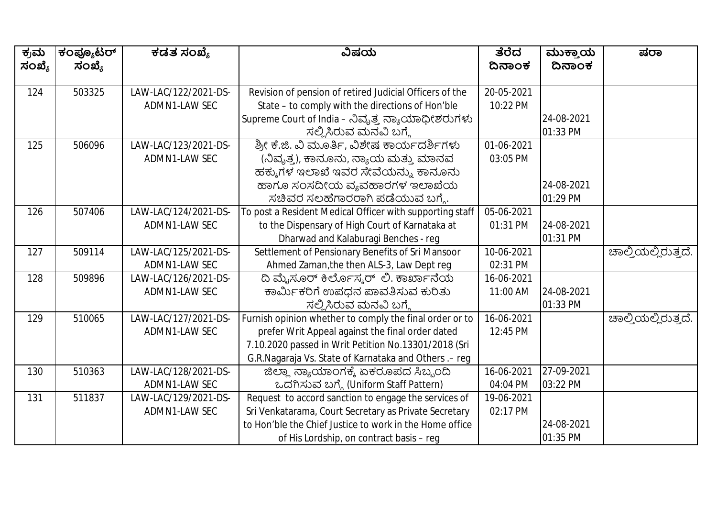| ಕ್ರಮ   | ಕಂಪ್ಯೂಟರ್<br>ಸಂಖ್ಯೆ | ಕಡತ ಸಂಖ್ಯೆ           | ವಿಷಯ                                                     | ತೆರೆದ<br>ದಿನಾಂಕ | ಮುಕ್ತಾಯ<br>ದಿನಾಂಕ | ಷರಾ                 |
|--------|---------------------|----------------------|----------------------------------------------------------|-----------------|-------------------|---------------------|
| ಸಂಖ್ಯೆ |                     |                      |                                                          |                 |                   |                     |
| 124    | 503325              | LAW-LAC/122/2021-DS- | Revision of pension of retired Judicial Officers of the  | 20-05-2021      |                   |                     |
|        |                     | ADMN1-LAW SEC        | State - to comply with the directions of Hon'ble         | 10:22 PM        |                   |                     |
|        |                     |                      | Supreme Court of India – ನಿವೃತ್ತ ನ್ಯಾಯಾಧೀಶರುಗಳು          |                 | 24-08-2021        |                     |
|        |                     |                      | ಸಲ್ಲಿಸಿರುವ ಮನವಿ ಬಗ್ಗೆ                                    |                 | 01:33 PM          |                     |
| 125    | 506096              | LAW-LAC/123/2021-DS- | ಶ್ರೀ ಕೆ.ಜಿ. ವಿ ಮೂರ್ತಿ, ವಿಶೇಷ ಕಾರ್ಯದರ್ಶಿಗಳು               | 01-06-2021      |                   |                     |
|        |                     | ADMN1-LAW SEC        | (ನಿವೃತ್ತ), ಕಾನೂನು, ನ್ಯಾಯ ಮತ್ತು ಮಾನವ                      | 03:05 PM        |                   |                     |
|        |                     |                      | ಹಕ್ಕುಗಳ ಇಲಾಖೆ ಇವರ ಸೇವೆಯನ್ನು ಕಾನೂನು                       |                 |                   |                     |
|        |                     |                      | ಹಾಗೂ ಸಂಸದೀಯ ವ್ಯವಹಾರಗಳ ಇಲಾಖೆಯ                             |                 | 24-08-2021        |                     |
|        |                     |                      | ಸಚಿವರ ಸಲಹೆಗಾರರಾಗಿ ಪಡೆಯುವ ಬಗ್ಮೆ.                          |                 | 01:29 PM          |                     |
| 126    | 507406              | LAW-LAC/124/2021-DS- | To post a Resident Medical Officer with supporting staff | 05-06-2021      |                   |                     |
|        |                     | ADMN1-LAW SEC        | to the Dispensary of High Court of Karnataka at          | 01:31 PM        | 24-08-2021        |                     |
|        |                     |                      | Dharwad and Kalaburagi Benches - reg                     |                 | 01:31 PM          |                     |
| 127    | 509114              | LAW-LAC/125/2021-DS- | Settlement of Pensionary Benefits of Sri Mansoor         | 10-06-2021      |                   | ಚಾಲ್ತಿಯಲ್ಲಿರುತ್ತದೆ. |
|        |                     | ADMN1-LAW SEC        | Ahmed Zaman, the then ALS-3, Law Dept reg                | 02:31 PM        |                   |                     |
| 128    | 509896              | LAW-LAC/126/2021-DS- | ದಿ ಮೈಸೂರ್ ಕಿರ್ಲೊಸ್ಕರ್ ಲಿ. ಕಾರ್ಖಾನೆಯ                      | 16-06-2021      |                   |                     |
|        |                     | ADMN1-LAW SEC        | ಕಾರ್ಮಿಕರಿಗೆ ಉಪಧನ ಪಾವತಿಸುವ ಕುರಿತು                         | 11:00 AM        | 24-08-2021        |                     |
|        |                     |                      | ಸಲ್ಲಿಸಿರುವ ಮನವಿ ಬಗ್ಗೆ                                    |                 | 01:33 PM          |                     |
| 129    | 510065              | LAW-LAC/127/2021-DS- | Furnish opinion whether to comply the final order or to  | 16-06-2021      |                   | ಚಾಲ್ತಿಯಲ್ಲಿರುತ್ತದೆ. |
|        |                     | ADMN1-LAW SEC        | prefer Writ Appeal against the final order dated         | 12:45 PM        |                   |                     |
|        |                     |                      | 7.10.2020 passed in Writ Petition No.13301/2018 (Sri     |                 |                   |                     |
|        |                     |                      | G.R.Nagaraja Vs. State of Karnataka and Others .- reg    |                 |                   |                     |
| 130    | 510363              | LAW-LAC/128/2021-DS- | ಜಿಲ್ಲಾ ನ್ಯಾಯಾಂಗಕ್ಕೆ ಏಕರೂಪದ ಸಿಬ್ಬಂದಿ                      | 16-06-2021      | 27-09-2021        |                     |
|        |                     | ADMN1-LAW SEC        | ಒದಗಿಸುವ ಬಗ್ಗೆ (Uniform Staff Pattern)                    | 04:04 PM        | 03:22 PM          |                     |
| 131    | 511837              | LAW-LAC/129/2021-DS- | Request to accord sanction to engage the services of     | 19-06-2021      |                   |                     |
|        |                     | ADMN1-LAW SEC        | Sri Venkatarama, Court Secretary as Private Secretary    | 02:17 PM        |                   |                     |
|        |                     |                      | to Hon'ble the Chief Justice to work in the Home office  |                 | 24-08-2021        |                     |
|        |                     |                      | of His Lordship, on contract basis - reg                 |                 | 01:35 PM          |                     |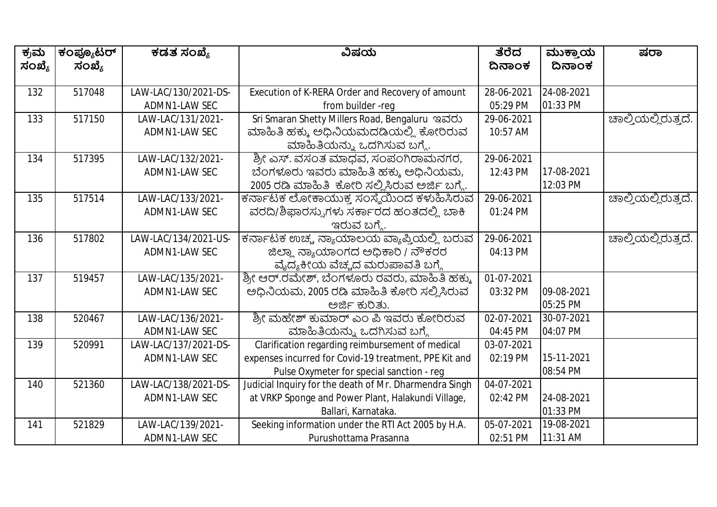| ಕ್ರಮ   | ಕಂಪ್ಯೂಟರ್ | ಕಡತ ಸಂಖ್ಯೆ           | ವಿಷಯ                                                   | ತೆರೆದ      | ಮುಕ್ತಾಯ    | ಷರಾ                          |
|--------|-----------|----------------------|--------------------------------------------------------|------------|------------|------------------------------|
| ಸಂಖ್ಯೆ | ಸಂಖ್ಯೆ    |                      |                                                        | ದಿನಾಂಕ     | ದಿನಾಂಕ     |                              |
| 132    | 517048    | LAW-LAC/130/2021-DS- | Execution of K-RERA Order and Recovery of amount       | 28-06-2021 | 24-08-2021 |                              |
|        |           | ADMN1-LAW SEC        | from builder -req                                      | 05:29 PM   | 01:33 PM   |                              |
| 133    | 517150    | LAW-LAC/131/2021-    | Sri Smaran Shetty Millers Road, Bengaluru ಇವರು         | 29-06-2021 |            | <u> ಚಾ</u> ಲ್ತಿಯಲ್ಲಿರುತ್ತದೆ. |
|        |           | ADMN1-LAW SEC        | ಮಾಹಿತಿ ಹಕ್ಕು ಅಧಿನಿಯಮದಡಿಯಲ್ಲಿ ಕೋರಿರುವ                   | 10:57 AM   |            |                              |
|        |           |                      | ಮಾಹಿತಿಯನ್ನು ಒದಗಿಸುವ ಬಗ್ಗೆ.                             |            |            |                              |
| 134    | 517395    | LAW-LAC/132/2021-    | ಶ್ರೀ ಎಸ್. ವಸಂತ ಮಾಧವ, ಸಂಪಂಗಿರಾಮನಗರ,                     | 29-06-2021 |            |                              |
|        |           | ADMN1-LAW SEC        | ಬೆಂಗಳೂರು ಇವರು ಮಾಹಿತಿ ಹಕ್ಕು ಅಧಿನಿಯಮ,                    | 12:43 PM   | 17-08-2021 |                              |
|        |           |                      | 2005 ರಡಿ ಮಾಹಿತಿ  ಕೋರಿ ಸಲ್ಲಿಸಿರುವ ಅರ್ಜಿ ಬಗ್ಗೆ.          |            | 12:03 PM   |                              |
| 135    | 517514    | LAW-LAC/133/2021-    | ಕರ್ನಾಟಕ ಲೋಕಾಯುಕ್ಕ ಸಂಸ್ಥೆಯಿಂದ ಕಳುಹಿಸಿರುವ                | 29-06-2021 |            | ಚಾಲ್ತಿಯಲ್ಲಿರುತ್ತದೆ.          |
|        |           | ADMN1-LAW SEC        | ವರದಿ/ಶಿಫಾರಸ್ಸುಗಳು ಸರ್ಕಾರದ ಹಂತದಲ್ಲಿ ಬಾಕಿ                | 01:24 PM   |            |                              |
|        |           |                      | ಇರುವ ಬಗ್ಗೆ.                                            |            |            |                              |
| 136    | 517802    | LAW-LAC/134/2021-US- | ಕರ್ನಾಟಕ ಉಚ್ಚ ನ್ಯಾಯಾಲಯ ವ್ಯಾಪ್ತಿಯಲ್ಲಿ ಬರುವ               | 29-06-2021 |            | ಚಾಲ್ತಿಯಲ್ಲಿರುತ್ತದೆ.          |
|        |           | ADMN1-LAW SEC        | ಜಿಲ್ಲಾ ನ್ಯಾಯಾಂಗದ ಅಧಿಕಾರಿ / ನೌಕರರ                       | 04:13 PM   |            |                              |
|        |           |                      | ವೈದ್ಯಕೀಯ ವೆಚ್ಚದ ಮರುಪಾವತಿ ಬಗ್ಗೆ                         |            |            |                              |
| 137    | 519457    | LAW-LAC/135/2021-    | ಶ್ರೀ ಆರ್.ರಮೇಶ್, ಬೆಂಗಳೂರು ರವರು, ಮಾಹಿತಿ ಹಕ್ಕು            | 01-07-2021 |            |                              |
|        |           | ADMN1-LAW SEC        | ಅಧಿನಿಯಮ, 2005 ರಡಿ ಮಾಹಿತಿ ಕೋರಿ ಸಲ್ಲಿಸಿರುವ               | 03:32 PM   | 09-08-2021 |                              |
|        |           |                      | ಅರ್ಜಿ ಕುರಿತು.                                          |            | 05:25 PM   |                              |
| 138    | 520467    | LAW-LAC/136/2021-    | ಶ್ರೀ ಮಹೇಶ್ ಕುಮಾರ್ ಎಂ ಪಿ ಇವರು ಕೋರಿರುವ                   | 02-07-2021 | 30-07-2021 |                              |
|        |           | ADMN1-LAW SEC        | ಮಾಹಿತಿಯನ್ನು ಒದಗಿಸುವ ಬಗ್ಗೆ                              | 04:45 PM   | 04:07 PM   |                              |
| 139    | 520991    | LAW-LAC/137/2021-DS- | Clarification regarding reimbursement of medical       | 03-07-2021 |            |                              |
|        |           | ADMN1-LAW SEC        | expenses incurred for Covid-19 treatment, PPE Kit and  | 02:19 PM   | 15-11-2021 |                              |
|        |           |                      | Pulse Oxymeter for special sanction - reg              |            | 08:54 PM   |                              |
| 140    | 521360    | LAW-LAC/138/2021-DS- | Judicial Inquiry for the death of Mr. Dharmendra Singh | 04-07-2021 |            |                              |
|        |           | ADMN1-LAW SEC        | at VRKP Sponge and Power Plant, Halakundi Village,     | 02:42 PM   | 24-08-2021 |                              |
|        |           |                      | Ballari, Karnataka.                                    |            | 01:33 PM   |                              |
| 141    | 521829    | LAW-LAC/139/2021-    | Seeking information under the RTI Act 2005 by H.A.     | 05-07-2021 | 19-08-2021 |                              |
|        |           | ADMN1-LAW SEC        | Purushottama Prasanna                                  | 02:51 PM   | 11:31 AM   |                              |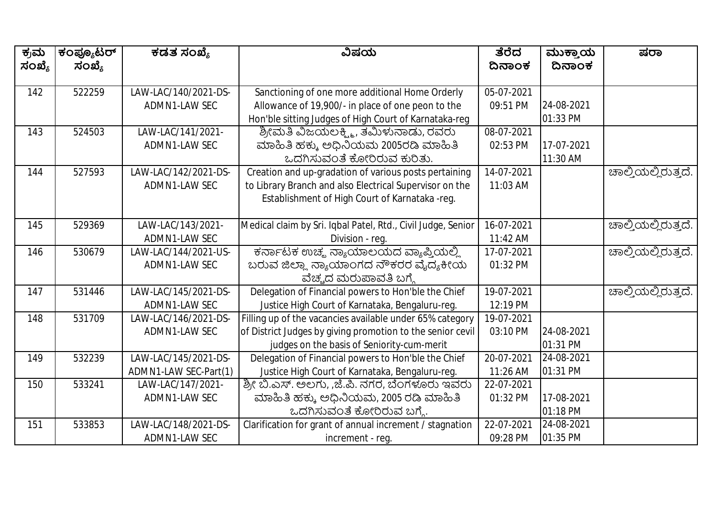| ಕ್ರಮ   | ಕಂಪ್ಯೂಟರ್ | ಕಡತ ಸಂಖ್ಯೆ            | ವಿಷಯ                                                         | ತೆರೆದ      | ಮುಕ್ತಾಯ    | ಷರಾ                 |
|--------|-----------|-----------------------|--------------------------------------------------------------|------------|------------|---------------------|
| ಸಂಖ್ಯೆ | ಸಂಖ್ಯೆ    |                       |                                                              | ದಿನಾಂಕ     | ದಿನಾಂಕ     |                     |
|        |           |                       |                                                              |            |            |                     |
| 142    | 522259    | LAW-LAC/140/2021-DS-  | Sanctioning of one more additional Home Orderly              | 05-07-2021 |            |                     |
|        |           | ADMN1-LAW SEC         | Allowance of 19,900/- in place of one peon to the            | 09:51 PM   | 24-08-2021 |                     |
|        |           |                       | Hon'ble sitting Judges of High Court of Karnataka-reg        |            | 01:33 PM   |                     |
| 143    | 524503    | LAW-LAC/141/2021-     | ಶ್ರೀಮತಿ ವಿಜಯಲಕ್ಷ್ಮಿ, ತಮಿಳುನಾಡು, ರವರು                         | 08-07-2021 |            |                     |
|        |           | ADMN1-LAW SEC         | ಮಾಹಿತಿ ಹಕ್ಕು ಅಧಿನಿಯಮ 2005ರಡಿ ಮಾಹಿತಿ                          | 02:53 PM   | 17-07-2021 |                     |
|        |           |                       | ಒದಗಿಸುವಂತೆ ಕೋರಿರುವ ಕುರಿತು.                                   |            | 11:30 AM   |                     |
| 144    | 527593    | LAW-LAC/142/2021-DS-  | Creation and up-gradation of various posts pertaining        | 14-07-2021 |            | ಹಾಲ್ತಿಯಲ್ಲಿರುತ್ತದೆ. |
|        |           | ADMN1-LAW SEC         | to Library Branch and also Electrical Supervisor on the      | 11:03 AM   |            |                     |
|        |           |                       | Establishment of High Court of Karnataka -reg.               |            |            |                     |
|        |           |                       |                                                              |            |            |                     |
| 145    | 529369    | LAW-LAC/143/2021-     | Medical claim by Sri. Iqbal Patel, Rtd., Civil Judge, Senior | 16-07-2021 |            | ಚಾಲ್ತಿಯಲ್ಲಿರುತ್ತದೆ. |
|        |           | ADMN1-LAW SEC         | Division - reg.                                              | 11:42 AM   |            |                     |
| 146    | 530679    | LAW-LAC/144/2021-US-  | ಕರ್ನಾಟಕ ಉಚ್ಛ ನ್ಯಾಯಾಲಯದ ವ್ಯಾಪ್ತಿಯಲ್ಲಿ                         | 17-07-2021 |            | ಚಾಲ್ತಿಯಲ್ಲಿರುತ್ತದೆ. |
|        |           | ADMN1-LAW SEC         | ಬರುವ ಜಿಲ್ಲಾ ನ್ಯಾಯಾಂಗದ ನೌಕರರ ವೈದ್ಯಕೀಯ                         | 01:32 PM   |            |                     |
|        |           |                       | ವೆಚ್ಚದ ಮರುಪಾವತಿ ಬಗ್ಗೆ                                        |            |            |                     |
| 147    | 531446    | LAW-LAC/145/2021-DS-  | Delegation of Financial powers to Hon'ble the Chief          | 19-07-2021 |            | ಚಾಲ್ತಿಯಲ್ಲಿರುತ್ತದೆ. |
|        |           | ADMN1-LAW SEC         | Justice High Court of Karnataka, Bengaluru-reg.              | 12:19 PM   |            |                     |
| 148    | 531709    | LAW-LAC/146/2021-DS-  | Filling up of the vacancies available under 65% category     | 19-07-2021 |            |                     |
|        |           | ADMN1-LAW SEC         | of District Judges by giving promotion to the senior cevil   | 03:10 PM   | 24-08-2021 |                     |
|        |           |                       | judges on the basis of Seniority-cum-merit                   |            | 01:31 PM   |                     |
| 149    | 532239    | LAW-LAC/145/2021-DS-  | Delegation of Financial powers to Hon'ble the Chief          | 20-07-2021 | 24-08-2021 |                     |
|        |           | ADMN1-LAW SEC-Part(1) | Justice High Court of Karnataka, Bengaluru-reg.              | 11:26 AM   | 01:31 PM   |                     |
| 150    | 533241    | LAW-LAC/147/2021-     | ಶ್ರೀ ಬಿ.ಎಸ್. ಅಲಗು, ,ಜೆ.ಪಿ. ನಗರ, ಬೆಂಗಳೂರು ಇವರು                | 22-07-2021 |            |                     |
|        |           | ADMN1-LAW SEC         | ಮಾಹಿತಿ ಹಕ್ಕು ಅಧಿನಿಯಮ, 2005 ರಡಿ ಮಾಹಿತಿ                        | 01:32 PM   | 17-08-2021 |                     |
|        |           |                       | ಒದಗಿಸುವಂತೆ ಕೋರಿರುವ ಬಗ್ಗೆ.                                    |            | 01:18 PM   |                     |
| 151    | 533853    | LAW-LAC/148/2021-DS-  | Clarification for grant of annual increment / stagnation     | 22-07-2021 | 24-08-2021 |                     |
|        |           | ADMN1-LAW SEC         | increment - req.                                             | 09:28 PM   | 01:35 PM   |                     |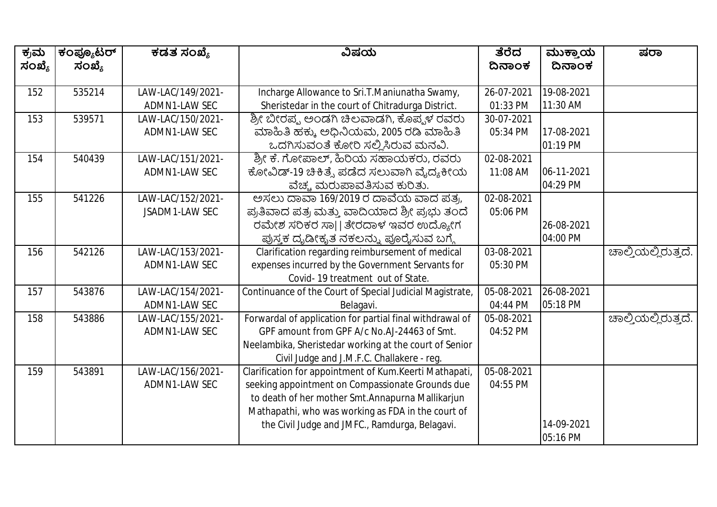| ಕ್ರಮ   | ಕಂಪ್ಯೂಟರ್ | ಕಡತ ಸಂಖ್ಯೆ            | ವಿಷಯ                                                     | ತೆರೆದ      | ಮುಕ್ತಾಯ    | ಷರಾ                 |
|--------|-----------|-----------------------|----------------------------------------------------------|------------|------------|---------------------|
| ಸಂಖ್ಯೆ | ಸಂಖ್ಯೆ    |                       |                                                          | ದಿನಾಂಕ     | ದಿನಾಂಕ     |                     |
|        |           |                       |                                                          |            |            |                     |
| 152    | 535214    | LAW-LAC/149/2021-     | Incharge Allowance to Sri.T.Maniunatha Swamy,            | 26-07-2021 | 19-08-2021 |                     |
|        |           | ADMN1-LAW SEC         | Sheristedar in the court of Chitradurga District.        | 01:33 PM   | 11:30 AM   |                     |
| 153    | 539571    | LAW-LAC/150/2021-     | ಶ್ರೀ ಬೀರಪ್ಪ ಅಂಡಗಿ ಚಿಲವಾಡಗಿ, ಕೊಪ್ಪಳ ರವರು                  | 30-07-2021 |            |                     |
|        |           | ADMN1-LAW SEC         | ಮಾಹಿತಿ ಹಕ್ಕು ಅಧಿನಿಯಮ, 2005 ರಡಿ ಮಾಹಿತಿ                    | 05:34 PM   | 17-08-2021 |                     |
|        |           |                       | ಒದಗಿಸುವಂತೆ ಕೋರಿ ಸಲ್ಲಿಸಿರುವ ಮನವಿ.                         |            | 01:19 PM   |                     |
| 154    | 540439    | LAW-LAC/151/2021-     | ಶ್ರೀ ಕೆ. ಗೋಪಾಲ್, ಹಿರಿಯ ಸಹಾಯಕರು, ರವರು                     | 02-08-2021 |            |                     |
|        |           | ADMN1-LAW SEC         | ಕೋವಿಡ್-19 ಚಿಕಿತ್ಸೆ ಪಡೆದ ಸಲುವಾಗಿ ವೈದ್ಯಕೀಯ                 | 11:08 AM   | 06-11-2021 |                     |
|        |           |                       | ವೆಚ್ಚ ಮರುಪಾವತಿಸುವ ಕುರಿತು.                                |            | 04:29 PM   |                     |
| 155    | 541226    | LAW-LAC/152/2021-     | ಅಸಲು ದಾವಾ 169/2019 ರ ದಾವೆಯ ವಾದ ಪತ್ರ,                     | 02-08-2021 |            |                     |
|        |           | <b>JSADM1-LAW SEC</b> | ಪ್ರತಿವಾದ ಪತ್ರ ಮತ್ತು ವಾದಿಯಾದ ಶ್ರೀ ಪ್ರಭು ತಂದೆ              | 05:06 PM   |            |                     |
|        |           |                       | ರಮೇಶ ಸರಿಕರ ಸಾ  ತೇರದಾಳ ಇವರ ಉದ್ಯೋಗ                         |            | 26-08-2021 |                     |
|        |           |                       | ಪುಸ್ತಕ ದೃಡೀಕೃತ ನಕಲನ್ನು ಪೂರೈಸುವ ಬಗ್ಗೆ                     |            | 04:00 PM   |                     |
| 156    | 542126    | LAW-LAC/153/2021-     | Clarification regarding reimbursement of medical         | 03-08-2021 |            | ಚಾಲ್ತಿಯಲ್ಲಿರುತ್ತದೆ. |
|        |           | ADMN1-LAW SEC         | expenses incurred by the Government Servants for         | 05:30 PM   |            |                     |
|        |           |                       | Covid-19 treatment out of State.                         |            |            |                     |
| 157    | 543876    | LAW-LAC/154/2021-     | Continuance of the Court of Special Judicial Magistrate, | 05-08-2021 | 26-08-2021 |                     |
|        |           | ADMN1-LAW SEC         | Belagavi.                                                | 04:44 PM   | 05:18 PM   |                     |
| 158    | 543886    | LAW-LAC/155/2021-     | Forwardal of application for partial final withdrawal of | 05-08-2021 |            | ಚಾಲ್ಕಿಯಲ್ಲಿರುತ್ತದೆ. |
|        |           | ADMN1-LAW SEC         | GPF amount from GPF A/c No.AJ-24463 of Smt.              | 04:52 PM   |            |                     |
|        |           |                       | Neelambika, Sheristedar working at the court of Senior   |            |            |                     |
|        |           |                       | Civil Judge and J.M.F.C. Challakere - reg.               |            |            |                     |
| 159    | 543891    | LAW-LAC/156/2021-     | Clarification for appointment of Kum.Keerti Mathapati,   | 05-08-2021 |            |                     |
|        |           | ADMN1-LAW SEC         | seeking appointment on Compassionate Grounds due         | 04:55 PM   |            |                     |
|        |           |                       | to death of her mother Smt.Annapurna Mallikarjun         |            |            |                     |
|        |           |                       | Mathapathi, who was working as FDA in the court of       |            |            |                     |
|        |           |                       | the Civil Judge and JMFC., Ramdurga, Belagavi.           |            | 14-09-2021 |                     |
|        |           |                       |                                                          |            | 05:16 PM   |                     |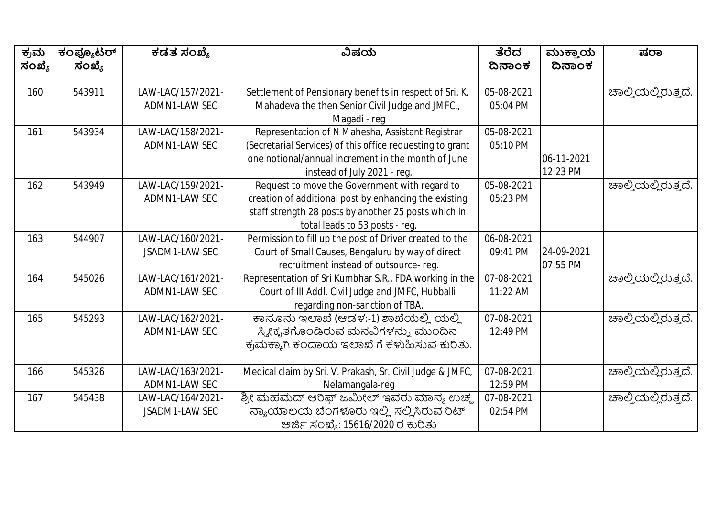| ಕ್ರಮ   | ಕಂಪ್ಯೂಟರ್ | ಕಡತ ಸಂಖ್ಯೆ        | ವಿಷಯ                                                      | ತೆರೆದ      | ಮುಕ್ತಾಯ    | ಷರಾ                 |
|--------|-----------|-------------------|-----------------------------------------------------------|------------|------------|---------------------|
| ಸಂಖ್ಯೆ | ಸಂಖ್ಯೆ    |                   |                                                           | ದಿನಾಂಕ     | ದಿನಾಂಕ     |                     |
| 160    | 543911    | LAW-LAC/157/2021- | Settlement of Pensionary benefits in respect of Sri. K.   | 05-08-2021 |            | ಚಾಲ್ತಿಯಲ್ಲಿರುತ್ತದೆ. |
|        |           | ADMN1-LAW SEC     | Mahadeva the then Senior Civil Judge and JMFC.,           | 05:04 PM   |            |                     |
|        |           |                   | Magadi - reg                                              |            |            |                     |
| 161    | 543934    | LAW-LAC/158/2021- | Representation of N Mahesha, Assistant Registrar          | 05-08-2021 |            |                     |
|        |           | ADMN1-LAW SEC     | (Secretarial Services) of this office requesting to grant | 05:10 PM   |            |                     |
|        |           |                   | one notional/annual increment in the month of June        |            | 06-11-2021 |                     |
|        |           |                   | instead of July 2021 - reg.                               |            | 12:23 PM   |                     |
| 162    | 543949    | LAW-LAC/159/2021- | Request to move the Government with regard to             | 05-08-2021 |            | ಚಾಲ್ತಿಯಲ್ಲಿರುತ್ತದೆ. |
|        |           | ADMN1-LAW SEC     | creation of additional post by enhancing the existing     | 05:23 PM   |            |                     |
|        |           |                   | staff strength 28 posts by another 25 posts which in      |            |            |                     |
|        |           |                   | total leads to 53 posts - reg.                            |            |            |                     |
| 163    | 544907    | LAW-LAC/160/2021- | Permission to fill up the post of Driver created to the   | 06-08-2021 |            |                     |
|        |           | JSADM1-LAW SEC    | Court of Small Causes, Bengaluru by way of direct         | 09:41 PM   | 24-09-2021 |                     |
|        |           |                   | recruitment instead of outsource-reg.                     |            | 07:55 PM   |                     |
| 164    | 545026    | LAW-LAC/161/2021- | Representation of Sri Kumbhar S.R., FDA working in the    | 07-08-2021 |            | ಚಾಲ್ತಿಯಲ್ಲಿರುತ್ತದೆ. |
|        |           | ADMN1-LAW SEC     | Court of III Addl. Civil Judge and JMFC, Hubballi         | 11:22 AM   |            |                     |
|        |           |                   | regarding non-sanction of TBA.                            |            |            |                     |
| 165    | 545293    | LAW-LAC/162/2021- | ಕಾನೂನು ಇಲಾಖೆ (ಆಡಳ:-1) ಶಾಖೆಯಲ್ಲಿ ಯಲ್ಲಿ                     | 07-08-2021 |            | ಚಾಲ್ತಿಯಲ್ಲಿರುತ್ತದೆ. |
|        |           | ADMN1-LAW SEC     | ಸ್ಯೀಕೃತಗೊಂಡಿರುವ ಮನವಿಗಳನ್ನು ಮುಂದಿನ                         | 12:49 PM   |            |                     |
|        |           |                   | ಕ್ರಮಕ್ಕಾಗಿ ಕಂದಾಯ ಇಲಾಖೆ ಗೆ ಕಳುಹಿಸುವ ಕುರಿತು.                |            |            |                     |
|        |           |                   |                                                           |            |            |                     |
| 166    | 545326    | LAW-LAC/163/2021- | Medical claim by Sri. V. Prakash, Sr. Civil Judge & JMFC, | 07-08-2021 |            | ಚಾಲ್ತಿಯಲ್ಲಿರುತ್ತದೆ. |
|        |           | ADMN1-LAW SEC     | Nelamangala-req                                           | 12:59 PM   |            |                     |
| 167    | 545438    | LAW-LAC/164/2021- | ಶ್ರೀ ಮಹಮದ್ ಆರಿಫ್ ಜಮೀಲ್ ಇವರು ಮಾನ್ಯ ಉಚ್ಮ                    | 07-08-2021 |            | ಚಾಲ್ತಿಯಲ್ಲಿರುತ್ತದೆ. |
|        |           | JSADM1-LAW SEC    | ನ್ಯಾಯಾಲಯ ಬೆಂಗಳೂರು ಇಲ್ಲಿ ಸಲ್ಲಿಸಿರುವ ರಿಟ್                   | 02:54 PM   |            |                     |
|        |           |                   | ಅರ್ಜಿ ಸಂಖ್ಯೆ: 15616/2020 ರ ಕುರಿತು                         |            |            |                     |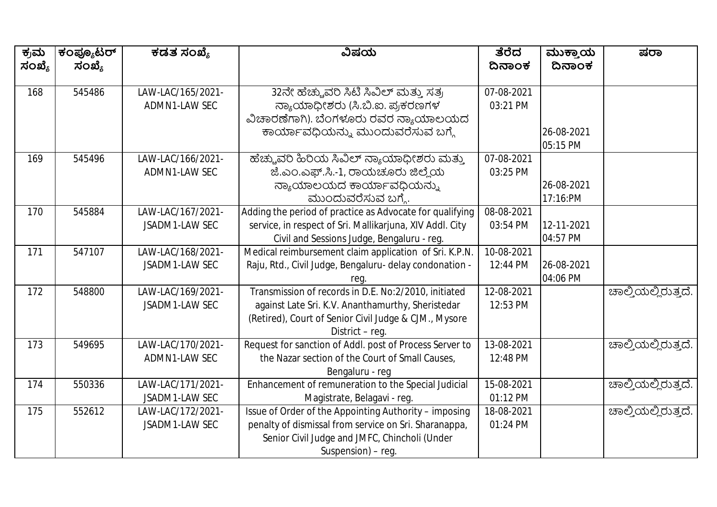| ಕ್ರಮ<br>ಸಂಖ್ಯೆ | ಕಂಪ್ಯೂಟರ್<br>ಸಂಖ್ಯೆ | ಕಡತ ಸಂಖ್ಯೆ        | ವಿಷಯ                                                     | ತೆರೆದ<br>ದಿನಾಂಕ | ಮುಕ್ತಾಯ<br>ದಿನಾಂಕ | ಷರಾ                 |
|----------------|---------------------|-------------------|----------------------------------------------------------|-----------------|-------------------|---------------------|
|                |                     |                   |                                                          |                 |                   |                     |
| 168            | 545486              | LAW-LAC/165/2021- | 32ನೇ ಹೆಚ್ಚುವರಿ ಸಿಟಿ ಸಿವಿಲ್ ಮತ್ತು ಸತ್ರ                    | 07-08-2021      |                   |                     |
|                |                     | ADMN1-LAW SEC     | ನ್ಯಾಯಾಧೀಶರು (ಸಿ.ಬಿ.ಐ. ಪ್ರಕರಣಗಳ                           | 03:21 PM        |                   |                     |
|                |                     |                   | ವಿಚಾರಣೆಗಾಗಿ). ಬೆಂಗಳೂರು ರವರ ನ್ಯಾಯಾಲಯದ                     |                 |                   |                     |
|                |                     |                   | ಕಾರ್ಯಾವಧಿಯನ್ನು ಮುಂದುವರೆಸುವ ಬಗ್ಗೆ                         |                 | 26-08-2021        |                     |
|                |                     |                   |                                                          |                 | 05:15 PM          |                     |
| 169            | 545496              | LAW-LAC/166/2021- | ಹೆಚ್ಚುವರಿ ಹಿರಿಯ ಸಿವಿಲ್ ನ್ಯಾಯಾಧೀಶರು ಮತ್ತು                 | 07-08-2021      |                   |                     |
|                |                     | ADMN1-LAW SEC     | ಜೆ.ಎಂ.ಎಫ್.ಸಿ.-1, ರಾಯಚೂರು ಜಿಲ್ಲೆಯ                         | 03:25 PM        |                   |                     |
|                |                     |                   | ನ್ಯಾಯಾಲಯದ ಕಾರ್ಯಾವಧಿಯನ್ನು                                 |                 | 26-08-2021        |                     |
|                |                     |                   | ಮುಂದುವರೆಸುವ ಬಗ್ಮೆ.                                       |                 | 17:16:PM          |                     |
| 170            | 545884              | LAW-LAC/167/2021- | Adding the period of practice as Advocate for qualifying | 08-08-2021      |                   |                     |
|                |                     | JSADM1-LAW SEC    | service, in respect of Sri. Mallikarjuna, XIV Addl. City | 03:54 PM        | 12-11-2021        |                     |
|                |                     |                   | Civil and Sessions Judge, Bengaluru - reg.               |                 | 04:57 PM          |                     |
| 171            | 547107              | LAW-LAC/168/2021- | Medical reimbursement claim application of Sri. K.P.N.   | 10-08-2021      |                   |                     |
|                |                     | JSADM1-LAW SEC    | Raju, Rtd., Civil Judge, Bengaluru- delay condonation -  | 12:44 PM        | 26-08-2021        |                     |
|                |                     |                   | reg.                                                     |                 | 04:06 PM          |                     |
| 172            | 548800              | LAW-LAC/169/2021- | Transmission of records in D.E. No:2/2010, initiated     | 12-08-2021      |                   | ಚಾಲ್ತಿಯಲ್ಲಿರುತ್ತದೆ. |
|                |                     | JSADM1-LAW SEC    | against Late Sri. K.V. Ananthamurthy, Sheristedar        | 12:53 PM        |                   |                     |
|                |                     |                   | (Retired), Court of Senior Civil Judge & CJM., Mysore    |                 |                   |                     |
|                |                     |                   | District - reg.                                          |                 |                   |                     |
| 173            | 549695              | LAW-LAC/170/2021- | Request for sanction of Addl. post of Process Server to  | 13-08-2021      |                   | ಚಾಲ್ತಿಯಲ್ಲಿರುತ್ತದೆ. |
|                |                     | ADMN1-LAW SEC     | the Nazar section of the Court of Small Causes,          | 12:48 PM        |                   |                     |
|                |                     |                   | Bengaluru - reg                                          |                 |                   |                     |
| 174            | 550336              | LAW-LAC/171/2021- | Enhancement of remuneration to the Special Judicial      | 15-08-2021      |                   | ಚಾಲ್ತಿಯಲ್ಲಿರುತ್ತದೆ. |
|                |                     | JSADM1-LAW SEC    | Magistrate, Belagavi - reg.                              | 01:12 PM        |                   |                     |
| 175            | 552612              | LAW-LAC/172/2021- | Issue of Order of the Appointing Authority - imposing    | 18-08-2021      |                   | ಚಾಲ್ತಿಯಲ್ಲಿರುತ್ತದೆ. |
|                |                     | JSADM1-LAW SEC    | penalty of dismissal from service on Sri. Sharanappa,    | 01:24 PM        |                   |                     |
|                |                     |                   | Senior Civil Judge and JMFC, Chincholi (Under            |                 |                   |                     |
|                |                     |                   | Suspension) - reg.                                       |                 |                   |                     |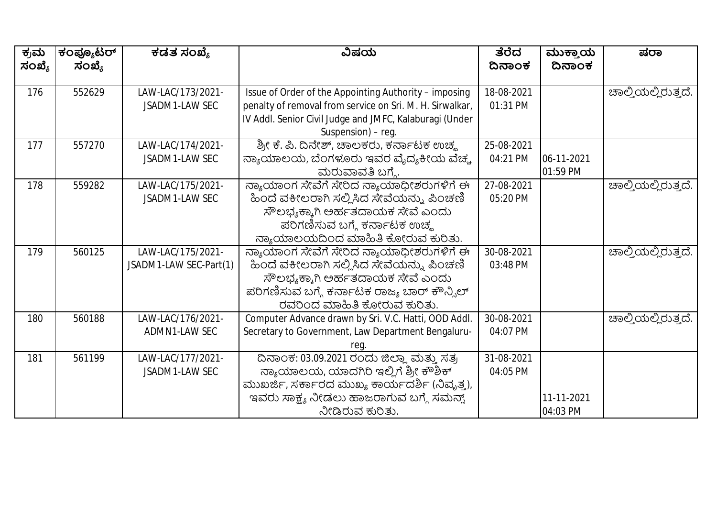| ಕ್ರಮ   | ಕಂಪ್ಯೂಟರ್ | ಕಡತ ಸಂಖ್ಯೆ             | ವಿಷಯ                                                     | ತೆರೆದ      | ಮುಕ್ತಾಯ    | ಷರಾ                 |
|--------|-----------|------------------------|----------------------------------------------------------|------------|------------|---------------------|
| ಸಂಖ್ಯೆ | ಸಂಖ್ಯೆ    |                        |                                                          | ದಿನಾಂಕ     | ದಿನಾಂಕ     |                     |
|        |           |                        |                                                          |            |            |                     |
| 176    | 552629    | LAW-LAC/173/2021-      | Issue of Order of the Appointing Authority - imposing    | 18-08-2021 |            | ಚಾಲ್ತಿಯಲ್ಲಿರುತ್ತದೆ. |
|        |           | JSADM1-LAW SEC         | penalty of removal from service on Sri. M. H. Sirwalkar, | 01:31 PM   |            |                     |
|        |           |                        | IV Addl. Senior Civil Judge and JMFC, Kalaburagi (Under  |            |            |                     |
|        |           |                        | Suspension) – reg.                                       |            |            |                     |
| 177    | 557270    | LAW-LAC/174/2021-      | ಶ್ರೀ ಕೆ. ಪಿ. ದಿನೇಶ್, ಚಾಲಕರು, ಕರ್ನಾಟಕ ಉಚ್ಮ                | 25-08-2021 |            |                     |
|        |           | JSADM1-LAW SEC         | ನ್ಯಾಯಾಲಯ, ಬೆಂಗಳೂರು ಇವರ ವೈದ್ಯಕೀಯ ವೆಚ್ಚ                    | 04:21 PM   | 06-11-2021 |                     |
|        |           |                        | ಮರುವಾವತಿ ಬಗ್ಗೆ.                                          |            | 01:59 PM   |                     |
| 178    | 559282    | LAW-LAC/175/2021-      | ನ್ಯಾಯಾಂಗ ಸೇವೆಗೆ ಸೇರಿದ ನ್ಯಾಯಾಧೀಶರುಗಳಿಗೆ ಈ                 | 27-08-2021 |            | ಚಾಲ್ತಿಯಲ್ಲಿರುತ್ತದೆ. |
|        |           | JSADM1-LAW SEC         | ಹಿಂದೆ ವಕೀಲರಾಗಿ ಸಲ್ಲಿಸಿದ ಸೇವೆಯನ್ನು ಪಿಂಚಣಿ                 | 05:20 PM   |            |                     |
|        |           |                        | ಸೌಲಭ್ಯಕ್ಕಾಗಿ ಅರ್ಹತದಾಯಕ ಸೇವೆ ಎಂದು                         |            |            |                     |
|        |           |                        | ಪರಿಗಣಿಸುವ ಬಗ್ಗೆ ಕರ್ನಾಟಕ ಉಚ್ಮ                             |            |            |                     |
|        |           |                        | ನ್ಯಾಯಾಲಯದಿಂದ ಮಾಹಿತಿ ಕೋರುವ ಕುರಿತು.                        |            |            |                     |
| 179    | 560125    | LAW-LAC/175/2021-      | ನ್ಯಾಯಾಂಗ ಸೇವೆಗೆ ಸೇರಿದ ನ್ಯಾಯಾಧೀಶರುಗಳಿಗೆ ಈ                 | 30-08-2021 |            | ಚಾಲ್ತಿಯಲ್ಲಿರುತ್ತದೆ. |
|        |           | JSADM1-LAW SEC-Part(1) | ಹಿಂದೆ ವಕೀಲರಾಗಿ ಸಲ್ಲಿಸಿದ ಸೇವೆಯನ್ನು ಪಿಂಚಣಿ                 | 03:48 PM   |            |                     |
|        |           |                        | ಸೌಲಭ್ಯಕ್ಕಾಗಿ ಅರ್ಹತದಾಯಕ ಸೇವೆ ಎಂದು                         |            |            |                     |
|        |           |                        | ಪರಿಗಣಿಸುವ ಬಗ್ಗೆ ಕರ್ನಾಟಕ ರಾಜ್ಯ ಬಾರ್ ಕೌನ್ಸಿಲ್              |            |            |                     |
|        |           |                        | ರವರಿಂದ ಮಾಹಿತಿ ಕೋರುವ ಕುರಿತು.                              |            |            |                     |
| 180    | 560188    | LAW-LAC/176/2021-      | Computer Advance drawn by Sri. V.C. Hatti, OOD Addl.     | 30-08-2021 |            | ಚಾಲ್ತಿಯಲ್ಲಿರುತ್ತದೆ. |
|        |           | ADMN1-LAW SEC          | Secretary to Government, Law Department Bengaluru-       | 04:07 PM   |            |                     |
|        |           |                        | reg                                                      |            |            |                     |
| 181    | 561199    | LAW-LAC/177/2021-      | ದಿನಾಂಕ: 03.09.2021 ರಂದು ಜಿಲ್ಲಾ ಮತ್ತು ಸತ್ರ                | 31-08-2021 |            |                     |
|        |           | JSADM1-LAW SEC         | ನ್ಯಾಯಾಲಯ, ಯಾದಗಿರಿ ಇಲ್ಲಿಗೆ ಶ್ರೀ ಕೌಶಿಕ್                    | 04:05 PM   |            |                     |
|        |           |                        | ಮುಖರ್ಜಿ, ಸರ್ಕಾರದ ಮುಖ್ಯ ಕಾರ್ಯದರ್ಶಿ (ನಿವೃತ್ನ),             |            |            |                     |
|        |           |                        | ಇವರು ಸಾಕ್ಷ್ಯ ನೀಡಲು ಹಾಜರಾಗುವ ಬಗ್ಗೆ ಸಮನ್ನ್                 |            | 11-11-2021 |                     |
|        |           |                        | ನೀಡಿರುವ ಕುರಿತು.                                          |            | 04:03 PM   |                     |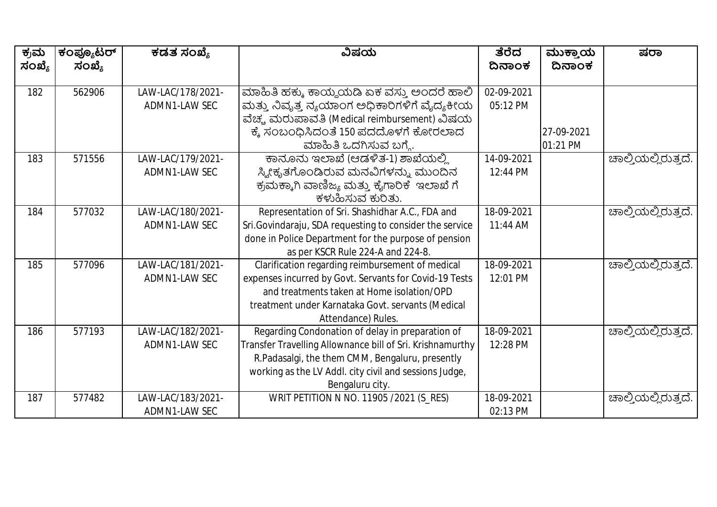| ಕ್ರಮ   | ಕಂಪ್ಯೂಟರ್ | ಕಡತ ಸಂಖ್ಯೆ        | ವಿಷಯ                                                      | ತೆರೆದ      | ಮುಕ್ತಾಯ    | ಷರಾ                 |
|--------|-----------|-------------------|-----------------------------------------------------------|------------|------------|---------------------|
| ಸಂಖ್ಯೆ | ಸಂಖ್ಯೆ    |                   |                                                           | ದಿನಾಂಕ     | ದಿನಾಂಕ     |                     |
| 182    | 562906    | LAW-LAC/178/2021- | ಮಾಹಿತಿ ಹಕ್ಕು ಕಾಯ್ದೆಯಡಿ ಏಕ ವಸ್ತು ಅಂದರೆ ಹಾಲಿ                | 02-09-2021 |            |                     |
|        |           |                   |                                                           | 05:12 PM   |            |                     |
|        |           | ADMN1-LAW SEC     | ಮತ್ತು ನಿವೃತ್ತ ನ್ಯಯಾಂಗ ಅಧಿಕಾರಿಗಳಿಗೆ ವೈದ್ಯಕೀಯ               |            |            |                     |
|        |           |                   | ವೆಚ್ಚ ಮರುಪಾವತಿ (Medical reimbursement) ವಿಷಯ               |            |            |                     |
|        |           |                   | ಕ್ಕೆ ಸಂಬಂಧಿಸಿದಂತೆ 150 ಪದದೊಳಗೆ ಕೋರಲಾದ                      |            | 27-09-2021 |                     |
|        |           |                   | ಮಾಹಿತಿ ಒದಗಿಸುವ ಬಗ್ಗೆ.                                     |            | 01:21 PM   |                     |
| 183    | 571556    | LAW-LAC/179/2021- | ಕಾನೂನು ಇಲಾಖೆ (ಆಡಳಿತ-1) ಶಾಖೆಯಲ್ಲಿ                          | 14-09-2021 |            | ಹಾಲ್ತಿಯಲ್ಲಿರುತ್ತದೆ. |
|        |           | ADMN1-LAW SEC     | ಸ್ಯೀಕೃತಗೊಂಡಿರುವ ಮನವಿಗಳನ್ನು ಮುಂದಿನ                         | 12:44 PM   |            |                     |
|        |           |                   | ಕ್ರಮಕ್ಕಾಗಿ ವಾಣಿಜ್ಯ ಮತ್ತು ಕೈಗಾರಿಕೆ  ಇಲಾಖೆ ಗೆ               |            |            |                     |
|        |           |                   | ಕಳುಹಿಸುವ ಕುರಿತು.                                          |            |            |                     |
| 184    | 577032    | LAW-LAC/180/2021- | Representation of Sri. Shashidhar A.C., FDA and           | 18-09-2021 |            | ಚಾಲ್ತಿಯಲ್ಲಿರುತ್ತದೆ. |
|        |           | ADMN1-LAW SEC     | Sri.Govindaraju, SDA requesting to consider the service   | 11:44 AM   |            |                     |
|        |           |                   | done in Police Department for the purpose of pension      |            |            |                     |
|        |           |                   | as per KSCR Rule 224-A and 224-8.                         |            |            |                     |
| 185    | 577096    | LAW-LAC/181/2021- | Clarification regarding reimbursement of medical          | 18-09-2021 |            | ಚಾಲ್ತಿಯಲ್ಲಿರುತ್ತದೆ. |
|        |           | ADMN1-LAW SEC     | expenses incurred by Govt. Servants for Covid-19 Tests    | 12:01 PM   |            |                     |
|        |           |                   | and treatments taken at Home isolation/OPD                |            |            |                     |
|        |           |                   | treatment under Karnataka Govt. servants (Medical         |            |            |                     |
|        |           |                   | Attendance) Rules.                                        |            |            |                     |
| 186    | 577193    | LAW-LAC/182/2021- | Regarding Condonation of delay in preparation of          | 18-09-2021 |            | ಚಾಲ್ತಿಯಲ್ಲಿರುತ್ತದೆ. |
|        |           | ADMN1-LAW SEC     | Transfer Travelling Allownance bill of Sri. Krishnamurthy | 12:28 PM   |            |                     |
|        |           |                   | R.Padasalgi, the them CMM, Bengaluru, presently           |            |            |                     |
|        |           |                   | working as the LV Addl. city civil and sessions Judge,    |            |            |                     |
|        |           |                   | Bengaluru city.                                           |            |            |                     |
| 187    | 577482    | LAW-LAC/183/2021- | WRIT PETITION N NO. 11905 /2021 (S_RES)                   | 18-09-2021 |            | ಚಾಲ್ತಿಯಲ್ಲಿರುತ್ತದೆ. |
|        |           | ADMN1-LAW SEC     |                                                           | 02:13 PM   |            |                     |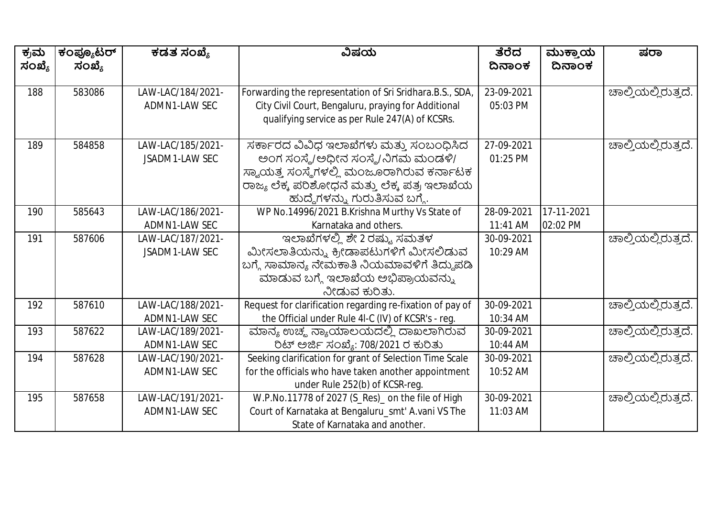| ಕ್ರಮ<br>ಸಂಖ್ಯೆ | ಕಂಪ್ಯೂಟರ್<br>ಸಂಖ್ಯೆ | ಕಡತ ಸಂಖ್ಯೆ            | ವಿಷಯ                                                      | ತೆರೆದ<br>ದಿನಾಂಕ | ಮುಕ್ತಾಯ<br>ದಿನಾಂಕ | ಷರಾ                 |
|----------------|---------------------|-----------------------|-----------------------------------------------------------|-----------------|-------------------|---------------------|
|                |                     |                       |                                                           |                 |                   |                     |
| 188            | 583086              | LAW-LAC/184/2021-     | Forwarding the representation of Sri Sridhara.B.S., SDA,  | 23-09-2021      |                   | ಚಾಲ್ತಿಯಲ್ಲಿರುತ್ತದೆ. |
|                |                     | ADMN1-LAW SEC         | City Civil Court, Bengaluru, praying for Additional       | 05:03 PM        |                   |                     |
|                |                     |                       | qualifying service as per Rule 247(A) of KCSRs.           |                 |                   |                     |
| 189            | 584858              | LAW-LAC/185/2021-     | ಸರ್ಕಾರದ ವಿವಿಧ ಇಲಾಖೆಗಳು ಮತ್ತು ಸಂಬಂಧಿಸಿದ                    | 27-09-2021      |                   | ಚಾಲ್ತಿಯಲ್ಲಿರುತ್ತದೆ. |
|                |                     | <b>JSADM1-LAW SEC</b> | ಅಂಗ ಸಂಸ್ಥೆ/ಅಧೀನ ಸಂಸ್ಥೆ/ನಿಗಮ ಮಂಡಳಿ/                        | 01:25 PM        |                   |                     |
|                |                     |                       | ಸ್ವಾಯತ್ತ ಸಂಸ್ಥೆಗಳಲ್ಲಿ ಮಂಜೂರಾಗಿರುವ ಕರ್ನಾಟಕ                 |                 |                   |                     |
|                |                     |                       | ರಾಜ್ಯ ಲೆಕ್ಕ ಪರಿಶೋಧನೆ ಮತ್ತು ಲೆಕ್ಕ ಪತ್ರ ಇಲಾಖೆಯ              |                 |                   |                     |
|                |                     |                       | ಹುದ್ದೆಗಳನ್ನು ಗುರುತಿಸುವ ಬಗ್ಗೆ.                             |                 |                   |                     |
| 190            | 585643              | LAW-LAC/186/2021-     | WP No.14996/2021 B.Krishna Murthy Vs State of             | 28-09-2021      | 17-11-2021        |                     |
|                |                     | ADMN1-LAW SEC         | Karnataka and others.                                     | 11:41 AM        | 02:02 PM          |                     |
| 191            | 587606              | LAW-LAC/187/2021-     |                                                           | 30-09-2021      |                   | ಚಾಲ್ತಿಯಲ್ಲಿರುತ್ತದೆ. |
|                |                     | JSADM1-LAW SEC        | ಮೀಸಲಾತಿಯನ್ನು ಕ್ರೀಡಾಪಟುಗಳಿಗೆ ಮೀಸಲಿಡುವ                      | 10:29 AM        |                   |                     |
|                |                     |                       | ಬಗ್ಗೆ ಸಾಮಾನ್ಯ ನೇಮಕಾತಿ ನಿಯಮಾವಳಿಗೆ ತಿದ್ದುಪಡಿ                |                 |                   |                     |
|                |                     |                       | ಮಾಡುವ ಬಗ್ಗೆ ಇಲಾಖೆಯ ಅಭಿಪ್ರಾಯವನ್ನು                          |                 |                   |                     |
|                |                     |                       | ನೀಡುವ ಕುರಿತು.                                             |                 |                   |                     |
| 192            | 587610              | LAW-LAC/188/2021-     | Request for clarification regarding re-fixation of pay of | 30-09-2021      |                   | ಚಾಲ್ತಿಯಲ್ಲಿರುತ್ತದೆ. |
|                |                     | ADMN1-LAW SEC         | the Official under Rule 4I-C (IV) of KCSR's - reg.        | 10:34 AM        |                   |                     |
| 193            | 587622              | LAW-LAC/189/2021-     | ಮಾನ್ಯ ಉಚ್ಮ ನ್ಯಾಯಾಲಯದಲ್ಲಿ ದಾಖಲಾಗಿರುವ                       | 30-09-2021      |                   | ಚಾಲ್ತಿಯಲ್ಲಿರುತ್ತದೆ. |
|                |                     | ADMN1-LAW SEC         | ರಿಟ್ ಅರ್ಜಿ ಸಂಖ್ಯೆ: 708/2021 ರ ಕುರಿತು                      | 10:44 AM        |                   |                     |
| 194            | 587628              | LAW-LAC/190/2021-     | Seeking clarification for grant of Selection Time Scale   | 30-09-2021      |                   | ಚಾಲ್ತಿಯಲ್ಲಿರುತ್ತದೆ. |
|                |                     | ADMN1-LAW SEC         | for the officials who have taken another appointment      | 10:52 AM        |                   |                     |
|                |                     |                       | under Rule 252(b) of KCSR-reg.                            |                 |                   |                     |
| 195            | 587658              | LAW-LAC/191/2021-     | W.P.No.11778 of 2027 (S_Res)_ on the file of High         | 30-09-2021      |                   | ಚಾಲ್ತಿಯಲ್ಲಿರುತ್ತದೆ. |
|                |                     | ADMN1-LAW SEC         | Court of Karnataka at Bengaluru_smt' A.vani VS The        | 11:03 AM        |                   |                     |
|                |                     |                       | State of Karnataka and another.                           |                 |                   |                     |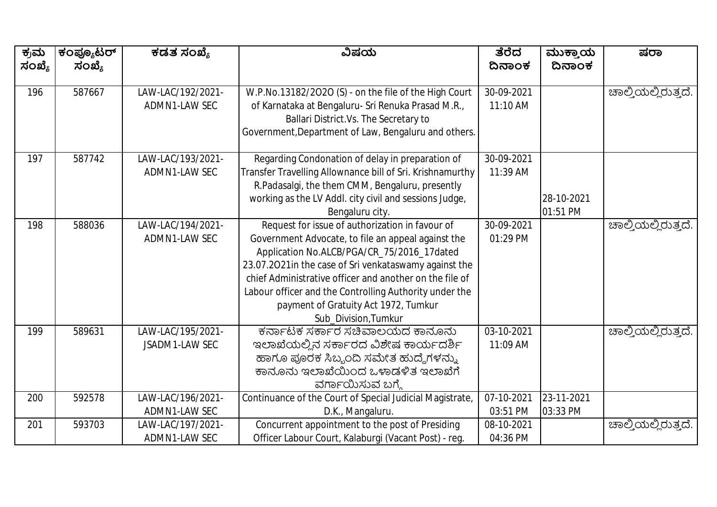| ಕ್ರಮ   | ಕಂಪ್ಯೂಟರ್ | ಕಡತ ಸಂಖ್ಯೆ        | ವಿಷಯ                                                      | ತೆರೆದ                   | ಮುಕ್ತಾಯ<br>ದಿನಾಂಕ | ಷರಾ                 |
|--------|-----------|-------------------|-----------------------------------------------------------|-------------------------|-------------------|---------------------|
| ಸಂಖ್ಯೆ | ಸಂಖ್ಯೆ    |                   |                                                           | ದಿನಾಂಕ                  |                   |                     |
| 196    | 587667    | LAW-LAC/192/2021- | W.P.No.13182/2020 (S) - on the file of the High Court     | 30-09-2021              |                   | ಚಾಲ್ತಿಯಲ್ಲಿರುತ್ತದೆ. |
|        |           | ADMN1-LAW SEC     | of Karnataka at Bengaluru- Sri Renuka Prasad M.R.,        | 11:10 AM                |                   |                     |
|        |           |                   | Ballari District.Vs. The Secretary to                     |                         |                   |                     |
|        |           |                   | Government, Department of Law, Bengaluru and others.      |                         |                   |                     |
|        |           |                   |                                                           |                         |                   |                     |
| 197    | 587742    | LAW-LAC/193/2021- | Regarding Condonation of delay in preparation of          | 30-09-2021              |                   |                     |
|        |           | ADMN1-LAW SEC     | Transfer Travelling Allownance bill of Sri. Krishnamurthy | 11:39 AM                |                   |                     |
|        |           |                   | R.Padasalgi, the them CMM, Bengaluru, presently           |                         |                   |                     |
|        |           |                   | working as the LV Addl. city civil and sessions Judge,    |                         | 28-10-2021        |                     |
|        |           |                   | Bengaluru city.                                           |                         | 01:51 PM          |                     |
| 198    | 588036    | LAW-LAC/194/2021- | Request for issue of authorization in favour of           | 30-09-2021              |                   | ಹಾಲ್ತಿಯಲ್ಲಿರುತ್ತದೆ. |
|        |           | ADMN1-LAW SEC     | Government Advocate, to file an appeal against the        | 01:29 PM                |                   |                     |
|        |           |                   | Application No.ALCB/PGA/CR_75/2016_17dated                |                         |                   |                     |
|        |           |                   | 23.07.2021in the case of Sri venkataswamy against the     |                         |                   |                     |
|        |           |                   | chief Administrative officer and another on the file of   |                         |                   |                     |
|        |           |                   | Labour officer and the Controlling Authority under the    |                         |                   |                     |
|        |           |                   | payment of Gratuity Act 1972, Tumkur                      |                         |                   |                     |
|        |           |                   | Sub_Division, Tumkur                                      |                         |                   |                     |
| 199    | 589631    | LAW-LAC/195/2021- | ಕರ್ನಾಟಕ ಸರ್ಕಾರ ಸಚಿವಾಲಯದ ಕಾನೂನು                            | 03-10-2021              |                   | ಚಾಲ್ತಿಯಲ್ಲಿರುತ್ತದೆ. |
|        |           | JSADM1-LAW SEC    | ಇಲಾಖೆಯಲ್ಲಿನ ಸರ್ಕಾರದ ವಿಶೇಷ ಕಾರ್ಯದರ್ಶಿ                      | 11:09 AM                |                   |                     |
|        |           |                   | ಹಾಗೂ ಪೂರಕ ಸಿಬ್ಬಂದಿ ಸಮೇತ ಹುದ್ದೆಗಳನ್ನು                      |                         |                   |                     |
|        |           |                   | ಕಾನೂನು ಇಲಾಖೆಯಿಂದ ಒಳಾಡಳಿತ ಇಲಾಖೆಗೆ                          |                         |                   |                     |
|        |           |                   | ವರ್ಗಾಯಿಸುವ ಬಗ್ಗೆ                                          |                         |                   |                     |
| 200    | 592578    | LAW-LAC/196/2021- | Continuance of the Court of Special Judicial Magistrate,  | $\overline{07-10-2021}$ | 23-11-2021        |                     |
|        |           | ADMN1-LAW SEC     | D.K., Mangaluru.                                          | 03:51 PM                | 03:33 PM          |                     |
| 201    | 593703    | LAW-LAC/197/2021- | Concurrent appointment to the post of Presiding           | 08-10-2021              |                   | ಚಾಲ್ತಿಯಲ್ಲಿರುತ್ತದೆ. |
|        |           | ADMN1-LAW SEC     | Officer Labour Court, Kalaburgi (Vacant Post) - reg.      | 04:36 PM                |                   |                     |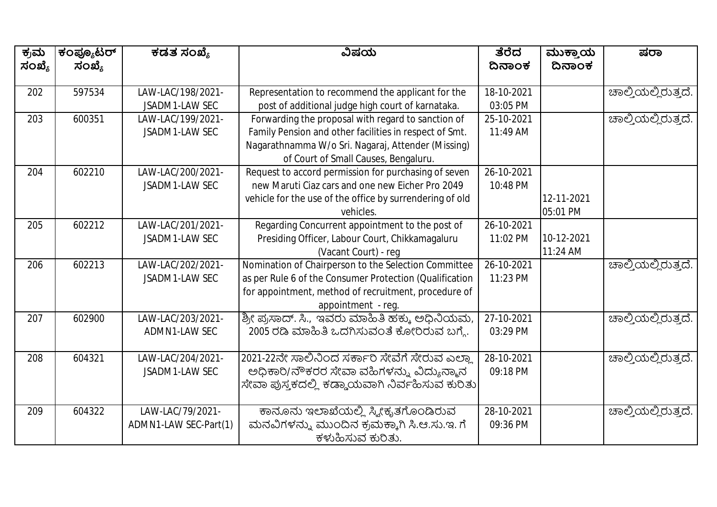| ಕ್ರಮ<br>ಸಂಖ್ಯೆ | ಕಂಪ್ಯೂಟರ್<br>ಸಂಖ್ಯೆ | ಕಡತ ಸಂಖ್ಯೆ            | ವಿಷಯ                                                     | ತೆರೆದ<br>ದಿನಾಂಕ | ಮುಕ್ತಾಯ<br>ದಿನಾಂಕ | ಷರಾ                 |
|----------------|---------------------|-----------------------|----------------------------------------------------------|-----------------|-------------------|---------------------|
|                |                     |                       |                                                          |                 |                   |                     |
| 202            | 597534              | LAW-LAC/198/2021-     | Representation to recommend the applicant for the        | 18-10-2021      |                   | ಚಾಲ್ತಿಯಲ್ಲಿರುತ್ತದೆ. |
|                |                     | JSADM1-LAW SEC        | post of additional judge high court of karnataka.        | 03:05 PM        |                   |                     |
| 203            | 600351              | LAW-LAC/199/2021-     | Forwarding the proposal with regard to sanction of       | 25-10-2021      |                   | ಚಾಲ್ತಿಯಲ್ಲಿರುತ್ತದೆ. |
|                |                     | JSADM1-LAW SEC        | Family Pension and other facilities in respect of Smt.   | 11:49 AM        |                   |                     |
|                |                     |                       | Nagarathnamma W/o Sri. Nagaraj, Attender (Missing)       |                 |                   |                     |
|                |                     |                       | of Court of Small Causes, Bengaluru.                     |                 |                   |                     |
| 204            | 602210              | LAW-LAC/200/2021-     | Request to accord permission for purchasing of seven     | 26-10-2021      |                   |                     |
|                |                     | JSADM1-LAW SEC        | new Maruti Ciaz cars and one new Eicher Pro 2049         | 10:48 PM        |                   |                     |
|                |                     |                       | vehicle for the use of the office by surrendering of old |                 | 12-11-2021        |                     |
|                |                     |                       | vehicles.                                                |                 | 05:01 PM          |                     |
| 205            | 602212              | LAW-LAC/201/2021-     | Regarding Concurrent appointment to the post of          | 26-10-2021      |                   |                     |
|                |                     | JSADM1-LAW SEC        | Presiding Officer, Labour Court, Chikkamagaluru          | 11:02 PM        | 10-12-2021        |                     |
|                |                     |                       | (Vacant Court) - reg                                     |                 | 11:24 AM          |                     |
| 206            | 602213              | LAW-LAC/202/2021-     | Nomination of Chairperson to the Selection Committee     | 26-10-2021      |                   | ಚಾಲ್ತಿಯಲ್ಲಿರುತ್ತದೆ. |
|                |                     | JSADM1-LAW SEC        | as per Rule 6 of the Consumer Protection (Qualification  | 11:23 PM        |                   |                     |
|                |                     |                       | for appointment, method of recruitment, procedure of     |                 |                   |                     |
|                |                     |                       | appointment - reg.                                       |                 |                   |                     |
| 207            | 602900              | LAW-LAC/203/2021-     | ಶ್ರೀ ಪ್ರಸಾದ್. ಸಿ., ಇವರು ಮಾಹಿತಿ ಹಕ್ಕು ಅಧಿನಿಯಮ,            | 27-10-2021      |                   | ಚಾಲ್ತಿಯಲ್ಲಿರುತ್ತದೆ. |
|                |                     | ADMN1-LAW SEC         | 2005 ರಡಿ ಮಾಹಿತಿ ಒದಗಿಸುವಂತೆ ಕೋರಿರುವ ಬಗ್ಗೆ.                | 03:29 PM        |                   |                     |
|                |                     |                       |                                                          |                 |                   |                     |
| 208            | 604321              | LAW-LAC/204/2021-     | 2021-22ನೇ ಸಾಲಿನಿಂದ ಸರ್ಕಾರಿ ಸೇವೆಗೆ ಸೇರುವ ಎಲ್ಲಾ            | 28-10-2021      |                   | ಚಾಲ್ತಿಯಲ್ಲಿರುತ್ತದೆ. |
|                |                     | <b>JSADM1-LAW SEC</b> | ಅಧಿಕಾರಿ/ನೌಕರರ ಸೇವಾ ವಹಿಗಳನ್ನು ವಿದ್ಯುನ್ಮಾನ                 | 09:18 PM        |                   |                     |
|                |                     |                       | ಸೇವಾ ಪುಸ್ತಕದಲ್ಲಿ ಕಡ್ಡಾಯವಾಗಿ ನಿರ್ವಹಿಸುವ ಕುರಿತು            |                 |                   |                     |
| 209            | 604322              | LAW-LAC/79/2021-      | ಕಾನೂನು ಇಲಾಖೆಯಲ್ಲಿ ಸ್ಕ್ರೀಕೃತಗೊಂಡಿರುವ                      | 28-10-2021      |                   | ಚಾಲ್ತಿಯಲ್ಲಿರುತ್ತದೆ. |
|                |                     | ADMN1-LAW SEC-Part(1) | ಮನವಿಗಳನ್ನು ಮುಂದಿನ ಕ್ರಮಕ್ಕಾಗಿ ಸಿ.ಆ.ಸು.ಇ. ಗೆ               | 09:36 PM        |                   |                     |
|                |                     |                       | ಕಳುಹಿಸುವ ಕುರಿತು.                                         |                 |                   |                     |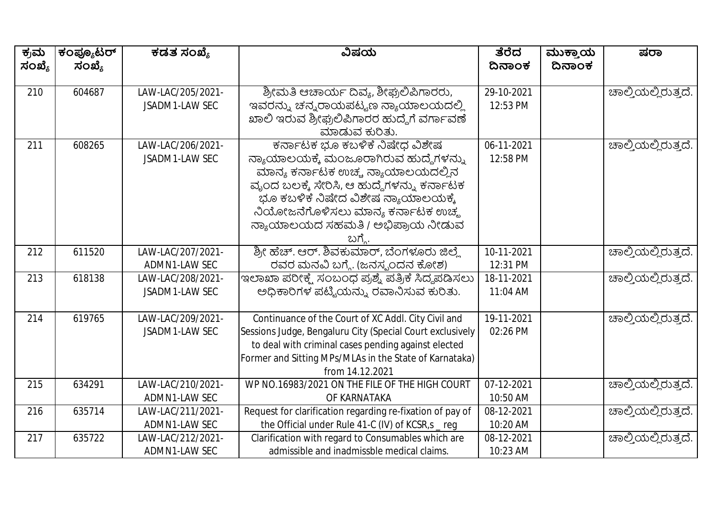| ಕ್ರಮ   | ಕಂಪ್ಯೂಟರ್ | ಕಡತ ಸಂಖ್ಯೆ        | ವಿಷಯ                                                      | ತೆರೆದ      | ಮುಕ್ತಾಯ | ಷರಾ                         |
|--------|-----------|-------------------|-----------------------------------------------------------|------------|---------|-----------------------------|
| ಸಂಖ್ಯೆ | ಸಂಖ್ಯೆ    |                   |                                                           | ದಿನಾಂಕ     | ದಿನಾಂಕ  |                             |
|        |           |                   |                                                           |            |         |                             |
| 210    | 604687    | LAW-LAC/205/2021- | ಶ್ರೀಮತಿ ಆಚಾರ್ಯ ದಿವ್ಯ, ಶೀಘ್ರಲಿಪಿಗಾರರು,                     | 29-10-2021 |         | ಚಾಲ್ತಿಯಲ್ಲಿರುತ್ತದೆ.         |
|        |           | JSADM1-LAW SEC    | ಇವರನ್ನು ಚನ್ನರಾಯಪಟ್ಟಣ ನ್ಯಾಯಾಲಯದಲ್ಲಿ                        | 12:53 PM   |         |                             |
|        |           |                   | ಖಾಲಿ ಇರುವ ಶ್ರೀಘ್ರಲಿಪಿಗಾರರ ಹುದ್ದೆಗೆ ವರ್ಗಾವಣೆ               |            |         |                             |
|        |           |                   | ಮಾಡುವ ಕುರಿತು.                                             |            |         |                             |
| 211    | 608265    | LAW-LAC/206/2021- | ಕರ್ನಾಟಕ ಭೂ ಕಬಳಿಕೆ ನಿಷೇಧ ವಿಶೇಷ                             | 06-11-2021 |         | ಚಾಲ್ತಿಯಲ್ಲಿರುತ್ತದೆ.         |
|        |           | JSADM1-LAW SEC    | ನ್ಯಾಯಾಲಯಕ್ಕೆ ಮಂಜೂರಾಗಿರುವ ಹುದ್ದೆಗಳನ್ನು                     | 12:58 PM   |         |                             |
|        |           |                   | ಮಾನ್ಯ ಕರ್ನಾಟಕ ಉಚ್ಚ ನ್ಯಾಯಾಲಯದಲ್ಲಿನ                         |            |         |                             |
|        |           |                   | ವೃಂದ ಬಲಕ್ಕೆ ಸೇರಿಸಿ, ಆ ಹುದ್ದೆಗಳನ್ನು ಕರ್ನಾಟಕ                |            |         |                             |
|        |           |                   | ಭೂ ಕಬಳಿಕೆ ನಿಷೇದ ವಿಶೇಷ ನ್ಯಾಯಾಲಯಕ್ಕೆ                        |            |         |                             |
|        |           |                   | ನಿಯೋಜನೆಗೊಳಿಸಲು ಮಾನ್ಯ ಕರ್ನಾಟಕ ಉಚ್ಮ                         |            |         |                             |
|        |           |                   | ನ್ಯಾಯಾಲಯದ ಸಹಮತಿ / ಅಭಿಪ್ರಾಯ ನೀಡುವ                          |            |         |                             |
|        |           |                   | ಬಗ್ಗೆ                                                     |            |         |                             |
| 212    | 611520    | LAW-LAC/207/2021- | ಶ್ರೀ ಹೆಚ್. ಆರ್. ಶಿವಕುಮಾರ್, ಬೆಂಗಳೂರು ಜಿಲ್ಲೆ                | 10-11-2021 |         | ಚಾಲ್ತಿಯಲ್ಲಿರುತ್ತದೆ.         |
|        |           | ADMN1-LAW SEC     | ರವರ ಮನವಿ ಬಗ್ಗೆ. (ಜನಸ್ಪಂದನ ಕೋಶ)                            | 12:31 PM   |         |                             |
| 213    | 618138    | LAW-LAC/208/2021- | ಇಲಾಖಾ ಪರೀಕ್ಷೆ ಸಂಬಂಧ ಪ್ರಶ್ನೆ ಪತ್ರಿಕೆ ಸಿದ್ಧಪಡಿಸಲು           | 18-11-2021 |         | ಚಾಲ್ತಿಯಲ್ಲಿರುತ್ತದೆ.         |
|        |           | JSADM1-LAW SEC    | ಅಧಿಕಾರಿಗಳ ಪಟ್ಟಿಯನ್ನು ರವಾನಿಸುವ ಕುರಿತು.                     | 11:04 AM   |         |                             |
|        |           |                   |                                                           |            |         |                             |
| 214    | 619765    | LAW-LAC/209/2021- | Continuance of the Court of XC Addl. City Civil and       | 19-11-2021 |         | ಹಾಲ್ತಿಯಲ್ಲಿರುತ್ತದೆ.         |
|        |           | JSADM1-LAW SEC    | Sessions Judge, Bengaluru City (Special Court exclusively | 02:26 PM   |         |                             |
|        |           |                   | to deal with criminal cases pending against elected       |            |         |                             |
|        |           |                   | Former and Sitting MPs/MLAs in the State of Karnataka)    |            |         |                             |
|        |           |                   | from 14.12.2021                                           |            |         |                             |
| 215    | 634291    | LAW-LAC/210/2021- | WP NO.16983/2021 ON THE FILE OF THE HIGH COURT            | 07-12-2021 |         | <u> ಚಾಲ್ತಿಯಲ್ಲಿರುತ್ತದೆ.</u> |
|        |           | ADMN1-LAW SEC     | OF KARNATAKA                                              | 10:50 AM   |         |                             |
| 216    | 635714    | LAW-LAC/211/2021- | Request for clarification regarding re-fixation of pay of | 08-12-2021 |         | ಚಾಲ್ತಿಯಲ್ಲಿರುತ್ತದೆ.         |
|        |           | ADMN1-LAW SEC     | the Official under Rule 41-C (IV) of KCSR,s _ reg         | 10:20 AM   |         |                             |
| 217    | 635722    | LAW-LAC/212/2021- | Clarification with regard to Consumables which are        | 08-12-2021 |         | ಚಾಲ್ತಿಯಲ್ಲಿರುತ್ತದೆ.         |
|        |           | ADMN1-LAW SEC     | admissible and inadmissble medical claims.                | 10:23 AM   |         |                             |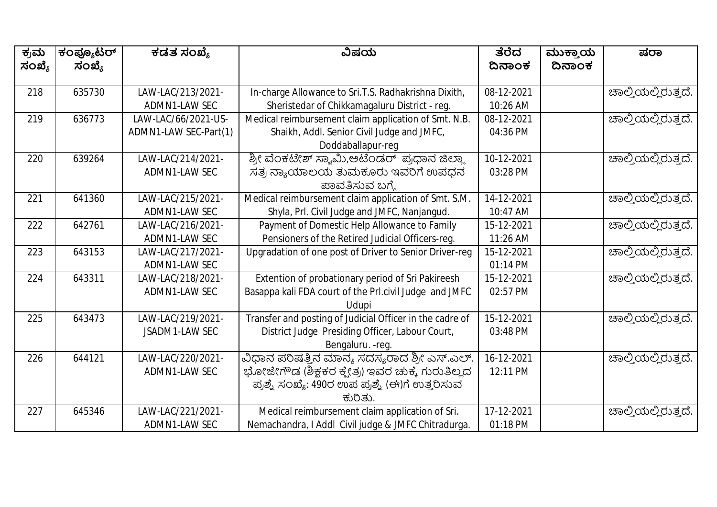| ಕ್ರಮ<br>ಸಂಖ್ಯೆ | ಕಂಪ್ಯೂಟರ್<br>ಸಂಖ್ಯೆ | ಕಡತ ಸಂಖ್ಯೆ            | ವಿಷಯ                                                     | ತೆರೆದ<br>ದಿನಾಂಕ | ಮುಕ್ತಾಯ<br>ದಿನಾಂಕ | ಷರಾ                         |
|----------------|---------------------|-----------------------|----------------------------------------------------------|-----------------|-------------------|-----------------------------|
|                |                     |                       |                                                          |                 |                   |                             |
| 218            | 635730              | LAW-LAC/213/2021-     | In-charge Allowance to Sri.T.S. Radhakrishna Dixith,     | 08-12-2021      |                   | ಚಾಲ್ತಿಯಲ್ಲಿರುತ್ತದೆ.         |
|                |                     | ADMN1-LAW SEC         | Sheristedar of Chikkamagaluru District - reg.            | 10:26 AM        |                   |                             |
| 219            | 636773              | LAW-LAC/66/2021-US-   | Medical reimbursement claim application of Smt. N.B.     | 08-12-2021      |                   | ಚಾಲ್ತಿಯಲ್ಲಿರುತ್ತದೆ.         |
|                |                     | ADMN1-LAW SEC-Part(1) | Shaikh, Addl. Senior Civil Judge and JMFC,               | 04:36 PM        |                   |                             |
|                |                     |                       | Doddaballapur-reg                                        |                 |                   |                             |
| 220            | 639264              | LAW-LAC/214/2021-     | ಶ್ರೀ ವೆಂಕಟೇಶ್ ಸ್ಯಾಮಿ,ಅಟೆಂಡರ್  ಪ್ರಧಾನ ಜಿಲ್ಲಾ              | 10-12-2021      |                   | ಚಾಲ್ತಿಯಲ್ಲಿರುತ್ತದೆ.         |
|                |                     | ADMN1-LAW SEC         | ಸತ್ರ ನ್ಯಾಯಾಲಯ ತುಮಕೂರು ಇವರಿಗೆ ಉಪಧನ                        | 03:28 PM        |                   |                             |
|                |                     |                       | ಪಾವತಿಸುವ ಬಗ್ಗೆ                                           |                 |                   |                             |
| 221            | 641360              | LAW-LAC/215/2021-     | Medical reimbursement claim application of Smt. S.M.     | 14-12-2021      |                   | <u> ಚಾಲ್ತಿಯಲ್ಲಿರುತ್ತದೆ.</u> |
|                |                     | ADMN1-LAW SEC         | Shyla, Prl. Civil Judge and JMFC, Nanjangud.             | 10:47 AM        |                   |                             |
| 222            | 642761              | LAW-LAC/216/2021-     | Payment of Domestic Help Allowance to Family             | 15-12-2021      |                   | ಚಾಲ್ತಿಯಲ್ಲಿರುತ್ತದೆ.         |
|                |                     | ADMN1-LAW SEC         | Pensioners of the Retired Judicial Officers-reg.         | 11:26 AM        |                   |                             |
| 223            | 643153              | LAW-LAC/217/2021-     | Upgradation of one post of Driver to Senior Driver-reg   | 15-12-2021      |                   | ಚಾಲ್ತಿಯಲ್ಲಿರುತ್ತದೆ.         |
|                |                     | ADMN1-LAW SEC         |                                                          | 01:14 PM        |                   |                             |
| 224            | 643311              | LAW-LAC/218/2021-     | Extention of probationary period of Sri Pakireesh        | 15-12-2021      |                   | ಚಾಲ್ತಿಯಲ್ಲಿರುತ್ತದೆ.         |
|                |                     | ADMN1-LAW SEC         | Basappa kali FDA court of the Prl.civil Judge and JMFC   | 02:57 PM        |                   |                             |
|                |                     |                       | Udupi                                                    |                 |                   |                             |
| 225            | 643473              | LAW-LAC/219/2021-     | Transfer and posting of Judicial Officer in the cadre of | 15-12-2021      |                   | ಚಾಲ್ತಿಯಲ್ಲಿರುತ್ತದೆ.         |
|                |                     | JSADM1-LAW SEC        | District Judge Presiding Officer, Labour Court,          | 03:48 PM        |                   |                             |
|                |                     |                       | Bengaluru. - reg.                                        |                 |                   |                             |
| 226            | 644121              | LAW-LAC/220/2021-     | ವಿಧಾನ ಪರಿಷತ್ತಿನ ಮಾನ್ಯ ಸದಸ್ಯರಾದ ಶ್ರೀ ಎಸ್.ಎಲ್.             | 16-12-2021      |                   | ಚಾಲ್ತಿಯಲ್ಲಿರುತ್ತದೆ.         |
|                |                     | ADMN1-LAW SEC         | ಭೋಜೇಗೌಡ (ಶಿಕ್ಷಕರ ಕ್ಷೇತ್ರ) ಇವರ ಚುಕ್ಕೆ ಗುರುತಿಲ್ಲದ          | 12:11 PM        |                   |                             |
|                |                     |                       | ಪ್ರಶ್ನೆ ಸಂಖ್ಯೆ: 490ರ ಉಪ ಪ್ರಶ್ನೆ (ಈ)ಗೆ ಉತ್ತರಿಸುವ          |                 |                   |                             |
|                |                     |                       | ಕುರಿತು.                                                  |                 |                   |                             |
| 227            | 645346              | LAW-LAC/221/2021-     | Medical reimbursement claim application of Sri.          | 17-12-2021      |                   | ಚಾಲ್ತಿಯಲ್ಲಿರುತ್ತದೆ.         |
|                |                     | ADMN1-LAW SEC         | Nemachandra, I Addl Civil judge & JMFC Chitradurga.      | 01:18 PM        |                   |                             |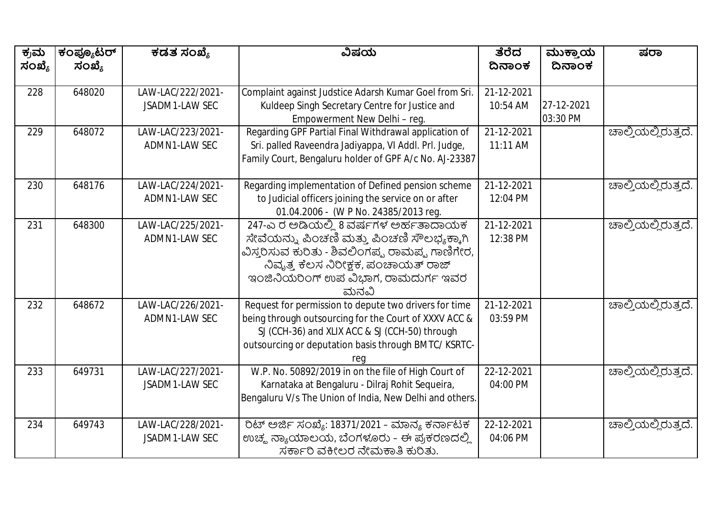| ಕ್ರಮ<br>ಸಂಖ್ಯೆ | ಕಂಪ್ಯೂಟರ್<br>ಸಂಖ್ಯೆ | ಕಡತ ಸಂಖ್ಯೆ        | ವಿಷಯ                                                    | ತೆರೆದ<br>ದಿನಾಂಕ  | ಮುಕ್ತಾಯ<br>ದಿನಾಂಕ | ಷರಾ                 |
|----------------|---------------------|-------------------|---------------------------------------------------------|------------------|-------------------|---------------------|
|                |                     |                   |                                                         |                  |                   |                     |
| 228            | 648020              | LAW-LAC/222/2021- | Complaint against Judstice Adarsh Kumar Goel from Sri.  | 21-12-2021       |                   |                     |
|                |                     | JSADM1-LAW SEC    | Kuldeep Singh Secretary Centre for Justice and          | 10:54 AM         | 27-12-2021        |                     |
|                |                     |                   | Empowerment New Delhi - reg.                            |                  | 03:30 PM          |                     |
| 229            | 648072              | LAW-LAC/223/2021- | Regarding GPF Partial Final Withdrawal application of   | $21 - 12 - 2021$ |                   | ಹಾಲ್ತಿಯಲ್ಲಿರುತ್ತದೆ. |
|                |                     | ADMN1-LAW SEC     | Sri. palled Raveendra Jadiyappa, VI Addl. Prl. Judge,   | 11:11 AM         |                   |                     |
|                |                     |                   | Family Court, Bengaluru holder of GPF A/c No. AJ-23387  |                  |                   |                     |
| 230            | 648176              | LAW-LAC/224/2021- | Regarding implementation of Defined pension scheme      | 21-12-2021       |                   | ಚಾಲ್ತಿಯಲ್ಲಿರುತ್ತದೆ. |
|                |                     | ADMN1-LAW SEC     | to Judicial officers joining the service on or after    | 12:04 PM         |                   |                     |
|                |                     |                   | 01.04.2006 - (W P No. 24385/2013 reg.                   |                  |                   |                     |
| 231            | 648300              | LAW-LAC/225/2021- | 247-ಎರ ಆಡಿಯಲ್ಲಿ 8 ವರ್ಷಗಳ ಅರ್ಹತಾದಾಯಕ                     | 21-12-2021       |                   | ಚಾಲ್ತಿಯಲ್ಲಿರುತ್ತದೆ. |
|                |                     | ADMN1-LAW SEC     | ಸೇವೆಯನ್ನು ಪಿಂಚಣಿ ಮತ್ತು ಪಿಂಚಣಿ ಸೌಲಭ್ಯಕ್ಕಾಗಿ              | 12:38 PM         |                   |                     |
|                |                     |                   | ವಿಸ್ತರಿಸುವ ಕುರಿತು - ಶಿವಲಿಂಗಪ್ಪ ರಾಮಪ್ಪ ಗಾಣಿಗೇರ,          |                  |                   |                     |
|                |                     |                   | ನಿವೃತ್ತ ಕೆಲಸ ನಿರೀಕ್ಷಕ, ಪಂಚಾಯತ್ ರಾಜ್                     |                  |                   |                     |
|                |                     |                   | ಇಂಜಿನಿಯರಿಂಗ್ ಉಪ ವಿಭಾಗ, ರಾಮದುರ್ಗ ಇವರ                     |                  |                   |                     |
|                |                     |                   | ಮನವಿ                                                    |                  |                   |                     |
| 232            | 648672              | LAW-LAC/226/2021- | Request for permission to depute two drivers for time   | 21-12-2021       |                   | ಚಾಲ್ತಿಯಲ್ಲಿರುತ್ತದೆ. |
|                |                     | ADMN1-LAW SEC     | being through outsourcing for the Court of XXXV ACC &   | 03:59 PM         |                   |                     |
|                |                     |                   | SJ (CCH-36) and XLIX ACC & SJ (CCH-50) through          |                  |                   |                     |
|                |                     |                   | outsourcing or deputation basis through BMTC/KSRTC-     |                  |                   |                     |
|                |                     |                   | rea                                                     |                  |                   |                     |
| 233            | 649731              | LAW-LAC/227/2021- | W.P. No. 50892/2019 in on the file of High Court of     | $22 - 12 - 2021$ |                   | ಚಾಲ್ತಿಯಲ್ಲಿರುತ್ತದೆ. |
|                |                     | JSADM1-LAW SEC    | Karnataka at Bengaluru - Dilraj Rohit Sequeira,         | 04:00 PM         |                   |                     |
|                |                     |                   | Bengaluru V/s The Union of India, New Delhi and others. |                  |                   |                     |
| 234            | 649743              | LAW-LAC/228/2021- | ರಿಟ್ ಅರ್ಜಿ ಸಂಖ್ಯೆ: 18371/2021 – ಮಾನ್ಯ ಕರ್ನಾಟಕ           | 22-12-2021       |                   | ಚಾಲ್ತಿಯಲ್ಲಿರುತ್ತದೆ. |
|                |                     | JSADM1-LAW SEC    | ಉಚ್ಮ ನ್ಯಾಯಾಲಯ, ಬೆಂಗಳೂರು - ಈ ಪ್ರಕರಣದಲ್ಲಿ                 | 04:06 PM         |                   |                     |
|                |                     |                   | ಸರ್ಕಾರಿ ವಕೀಲರ ನೇಮಕಾತಿ ಕುರಿತು.                           |                  |                   |                     |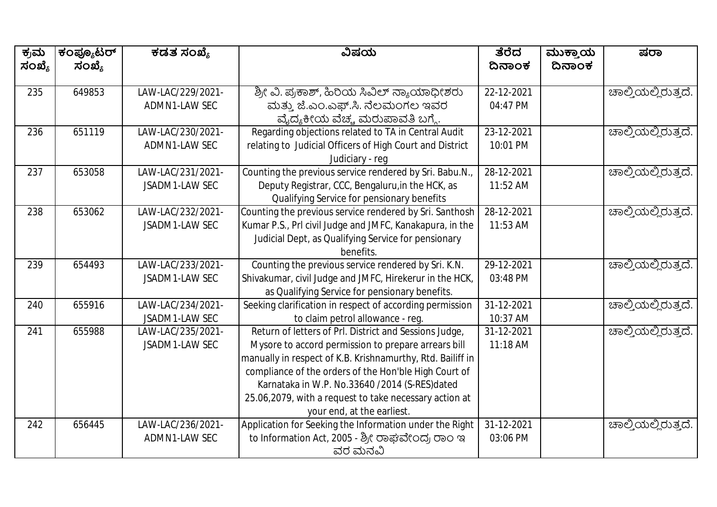| ಕ್ರಮ<br>ಸಂಖ್ಯೆ | ಕಂಪ್ಯೂಟರ್<br>ಸಂಖ್ಯೆ | ಕಡತ ಸಂಖ್ಯೆ                          | ವಿಷಯ                                                                                                                                                                                                                                                                                                                                                                          | ತೆರೆದ<br>ದಿನಾಂಕ        | ಮುಕ್ತಾಯ<br>ದಿನಾಂಕ | ಷರಾ                 |
|----------------|---------------------|-------------------------------------|-------------------------------------------------------------------------------------------------------------------------------------------------------------------------------------------------------------------------------------------------------------------------------------------------------------------------------------------------------------------------------|------------------------|-------------------|---------------------|
| 235            | 649853              | LAW-LAC/229/2021-<br>ADMN1-LAW SEC  | ಶ್ರೀ ವಿ. ಪ್ರಕಾಶ್, ಹಿರಿಯ ಸಿವಿಲ್ ನ್ಯಾಯಾಧೀಶರು<br>ಮತ್ತು ಜೆ.ಎಂ.ಎಫ್.ಸಿ. ನೆಲಮಂಗಲ ಇವರ<br>ವೈದ್ಯಕೀಯ ವೆಚ್ಚ ಮರುಪಾವತಿ ಬಗ್ಗೆ.                                                                                                                                                                                                                                                               | 22-12-2021<br>04:47 PM |                   | ಚಾಲ್ತಿಯಲ್ಲಿರುತ್ತದೆ. |
| 236            | 651119              | LAW-LAC/230/2021-<br>ADMN1-LAW SEC  | Regarding objections related to TA in Central Audit<br>relating to Judicial Officers of High Court and District<br>Judiciary - reg                                                                                                                                                                                                                                            | 23-12-2021<br>10:01 PM |                   | ಚಾಲ್ತಿಯಲ್ಲಿರುತ್ತದೆ. |
| 237            | 653058              | LAW-LAC/231/2021-<br>JSADM1-LAW SEC | Counting the previous service rendered by Sri. Babu.N.,<br>Deputy Registrar, CCC, Bengaluru, in the HCK, as<br>Qualifying Service for pensionary benefits                                                                                                                                                                                                                     | 28-12-2021<br>11:52 AM |                   | ಚಾಲ್ತಿಯಲ್ಲಿರುತ್ತದೆ. |
| 238            | 653062              | LAW-LAC/232/2021-<br>JSADM1-LAW SEC | Counting the previous service rendered by Sri. Santhosh<br>Kumar P.S., Prl civil Judge and JMFC, Kanakapura, in the<br>Judicial Dept, as Qualifying Service for pensionary<br>benefits.                                                                                                                                                                                       | 28-12-2021<br>11:53 AM |                   | ಚಾಲ್ತಿಯಲ್ಲಿರುತ್ತದೆ. |
| 239            | 654493              | LAW-LAC/233/2021-<br>JSADM1-LAW SEC | Counting the previous service rendered by Sri. K.N.<br>Shivakumar, civil Judge and JMFC, Hirekerur in the HCK,<br>as Qualifying Service for pensionary benefits.                                                                                                                                                                                                              | 29-12-2021<br>03:48 PM |                   | ಚಾಲ್ತಿಯಲ್ಲಿರುತ್ತದೆ. |
| 240            | 655916              | LAW-LAC/234/2021-<br>JSADM1-LAW SEC | Seeking clarification in respect of according permission<br>to claim petrol allowance - reg.                                                                                                                                                                                                                                                                                  | 31-12-2021<br>10:37 AM |                   | ಚಾಲ್ತಿಯಲ್ಲಿರುತ್ತದೆ. |
| 241            | 655988              | LAW-LAC/235/2021-<br>JSADM1-LAW SEC | Return of letters of Prl. District and Sessions Judge,<br>Mysore to accord permission to prepare arrears bill<br>manually in respect of K.B. Krishnamurthy, Rtd. Bailiff in<br>compliance of the orders of the Hon'ble High Court of<br>Karnataka in W.P. No.33640 /2014 (S-RES)dated<br>25.06,2079, with a request to take necessary action at<br>your end, at the earliest. | 31-12-2021<br>11:18 AM |                   | ಚಾಲ್ತಿಯಲ್ಲಿರುತ್ತದೆ. |
| 242            | 656445              | LAW-LAC/236/2021-<br>ADMN1-LAW SEC  | Application for Seeking the Information under the Right<br>to Information Act, 2005 - ಶ್ರೀ ರಾಘವೇಂದ್ರ ರಾಂ ಇ<br>ವರ ಮನವಿ                                                                                                                                                                                                                                                         | 31-12-2021<br>03:06 PM |                   | ಚಾಲ್ತಿಯಲ್ಲಿರುತ್ತದೆ. |